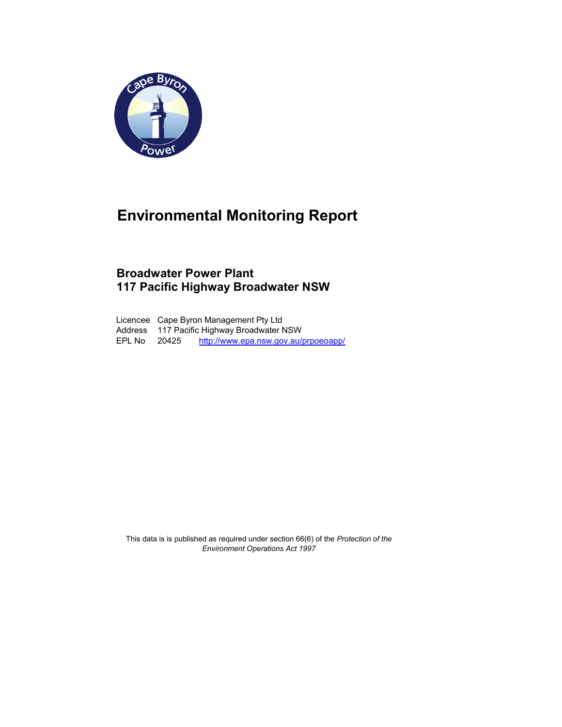

## Environmental Monitoring Report

## Broadwater Power Plant 117 Pacific Highway Broadwater NSW

Licencee Cape Byron Management Pty Ltd Address 117 Pacific Highway Broadwater NSW EPL No 20425 http://www.epa.nsw.gov.au/prpoeoapp/

This data is is published as required under section 66(6) of the Protection of the Environment Operations Act 1997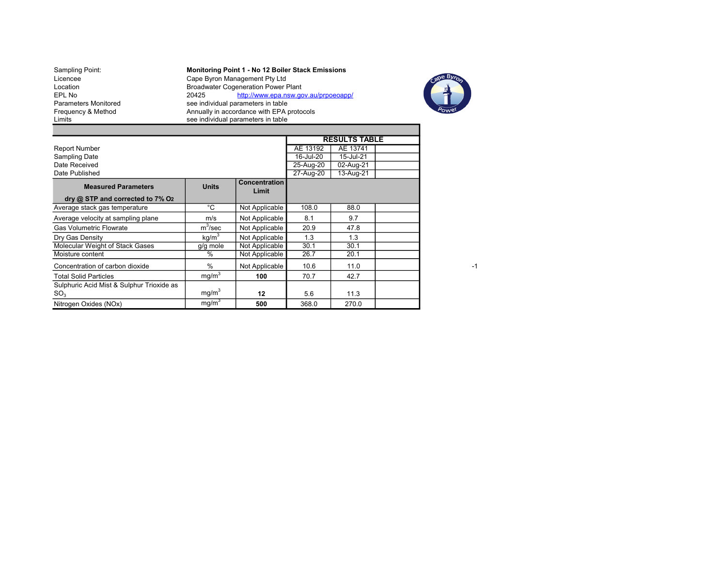Sampling Point: **Monitoring Point 1 - No 12 Boiler Stack Emissions** Licencee Cape Byron Management Pty Ltd Sampling Point:<br>
Licencee Cape Byron Management Pty Ltd<br>
Location Broadwater Cogeneration Power Plant<br>
EPL No 20425 http://www.epa.nsw.go EPL No 20425 http://www.epa.nsw.gov.au/prpoeoapp/<br>
Parameters Monitored see individual parameters in table Parameters Monitored see individual parameters in table<br>Frequency & Method Annually in accordance with EPA p<br>Limits see individual parameters in table Frequency & Method Annually in accordance with EPA protocols Limits **Superints** See individual parameters in table



|                                                              |                   | <b>RESULTS TABLE</b>          |           |           |  |
|--------------------------------------------------------------|-------------------|-------------------------------|-----------|-----------|--|
| <b>Report Number</b>                                         |                   |                               | AE 13192  | AE 13741  |  |
| <b>Sampling Date</b>                                         |                   |                               | 16-Jul-20 | 15-Jul-21 |  |
| Date Received                                                |                   |                               | 25-Aug-20 | 02-Aug-21 |  |
| Date Published                                               |                   |                               | 27-Aug-20 | 13-Aug-21 |  |
| <b>Measured Parameters</b>                                   | <b>Units</b>      | <b>Concentration</b><br>Limit |           |           |  |
| dry $@$ STP and corrected to $7\%$ O <sub>2</sub>            |                   |                               |           |           |  |
| Average stack gas temperature                                | °C                | Not Applicable                | 108.0     | 88.0      |  |
| Average velocity at sampling plane                           | m/s               | Not Applicable                | 8.1       | 9.7       |  |
| <b>Gas Volumetric Flowrate</b>                               | $m^3$ /sec        | Not Applicable                | 20.9      | 47.8      |  |
| Dry Gas Density                                              | kg/m <sup>3</sup> | Not Applicable                | 1.3       | 1.3       |  |
| Molecular Weight of Stack Gases                              | g/g mole          | Not Applicable                | 30.1      | 30.1      |  |
| Moisture content                                             | $\%$              | Not Applicable                | 26.7      | 20.1      |  |
| Concentration of carbon dioxide                              | $\frac{0}{n}$     | Not Applicable                | 10.6      | 11.0      |  |
| <b>Total Solid Particles</b>                                 | mq/m <sup>3</sup> | 100                           | 70.7      | 42.7      |  |
| Sulphuric Acid Mist & Sulphur Trioxide as<br>SO <sub>3</sub> | mg/m <sup>3</sup> | 12                            | 5.6       | 11.3      |  |
| Nitrogen Oxides (NOx)                                        | mq/m <sup>3</sup> | 500                           | 368.0     | 270.0     |  |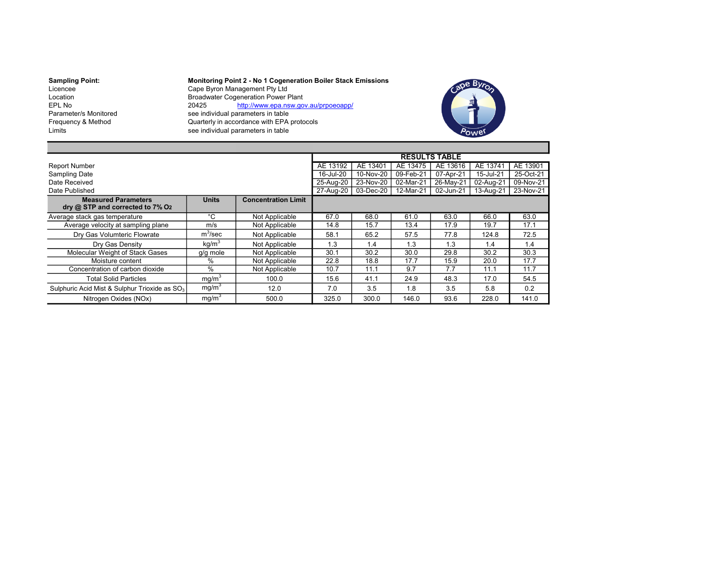Sampling Point: Monitoring Point 2 - No 1 Cogeneration Boiler Stack Emissions<br>Licencee Cape Byron Management Pty Ltd Licencee Cape Byron Management Pty Ltd Location Broadwater Cogeneration Power Plant EPL No 20425 http://www.epa.nsw.gov.au/prpoeoapp/ Parameter/s Monitored see individual parameters in table Frequency & Method **Containers Containers** Quarterly in accordance with EPA protocols<br>Limits ee individual parameters in table see individual parameters in table



|                                                                            |                   |                            |           |           |           | <b>RESULTS TABLE</b> |           |           |
|----------------------------------------------------------------------------|-------------------|----------------------------|-----------|-----------|-----------|----------------------|-----------|-----------|
| <b>Report Number</b>                                                       |                   | AE 13192                   | AE 13401  | AE 13475  | AE 13616  | AE 13741             | AE 13901  |           |
| Sampling Date                                                              |                   |                            | 16-Jul-20 | 10-Nov-20 | 09-Feb-21 | 07-Apr-21            | 15-Jul-21 | 25-Oct-21 |
| Date Received                                                              |                   |                            | 25-Aug-20 | 23-Nov-20 | 02-Mar-21 | 26-May-21            | 02-Aug-21 | 09-Nov-21 |
| Date Published                                                             |                   |                            | 27-Aug-20 | 03-Dec-20 | 12-Mar-21 | 02-Jun-21            | 13-Aug-21 | 23-Nov-21 |
| <b>Measured Parameters</b><br>dry @ STP and corrected to 7% O <sub>2</sub> | <b>Units</b>      | <b>Concentration Limit</b> |           |           |           |                      |           |           |
| Average stack gas temperature                                              | °C                | Not Applicable             | 67.0      | 68.0      | 61.0      | 63.0                 | 66.0      | 63.0      |
| Average velocity at sampling plane                                         | m/s               | Not Applicable             | 14.8      | 15.7      | 13.4      | 17.9                 | 19.7      | 17.1      |
| Dry Gas Volumteric Flowrate                                                | $m^3$ /sec        | Not Applicable             | 58.1      | 65.2      | 57.5      | 77.8                 | 124.8     | 72.5      |
| Drv Gas Density                                                            | kg/m <sup>3</sup> | Not Applicable             | 1.3       | 1.4       | 1.3       | 1.3                  | 1.4       | 1.4       |
| Molecular Weight of Stack Gases                                            | g/g mole          | Not Applicable             | 30.1      | 30.2      | 30.0      | 29.8                 | 30.2      | 30.3      |
| Moisture content                                                           | %                 | Not Applicable             | 22.8      | 18.8      | 17.7      | 15.9                 | 20.0      | 17.7      |
| Concentration of carbon dioxide                                            | $\%$              | Not Applicable             | 10.7      | 11.1      | 9.7       | 7.7                  | 11.1      | 11.7      |
| <b>Total Solid Particles</b>                                               | mg/m <sup>3</sup> | 100.0                      | 15.6      | 41.1      | 24.9      | 48.3                 | 17.0      | 54.5      |
| Sulphuric Acid Mist & Sulphur Trioxide as SO <sub>3</sub>                  | mg/m <sup>3</sup> | 12.0                       | 7.0       | 3.5       | 1.8       | 3.5                  | 5.8       | 0.2       |
| Nitrogen Oxides (NOx)                                                      | mg/m <sup>3</sup> | 500.0                      | 325.0     | 300.0     | 146.0     | 93.6                 | 228.0     | 141.0     |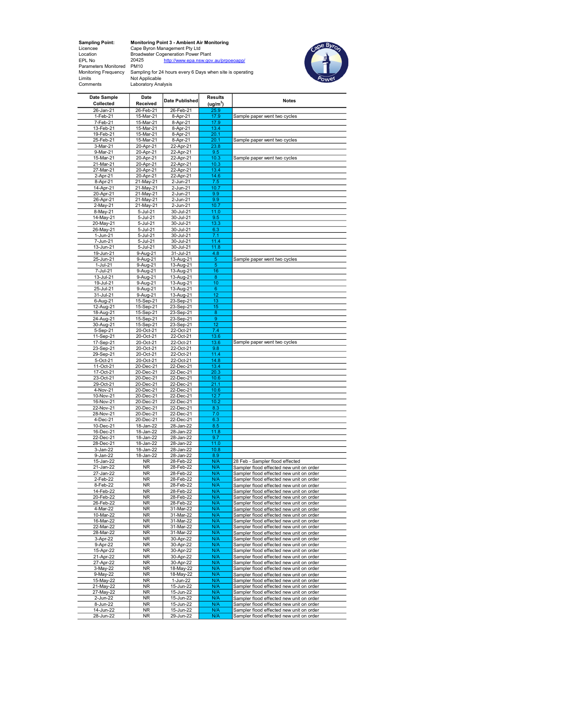Sampling Point: Monitoring Point 3 - Ambient Air Monitoring<br>
Licence Cape Byron Management Pty Ltd<br>
Location Broadwater Cogeneration Power Plant<br>
EPL No<br>
Parameters Monitored PM10<br>
Parameters Monitored PM10<br>
Monitoring Fre



| Date Sample<br>Collected | Date<br>Received       | Date Published         | <b>Results</b>       | <b>Notes</b>                                                                         |
|--------------------------|------------------------|------------------------|----------------------|--------------------------------------------------------------------------------------|
|                          |                        |                        | (ug/m <sup>3</sup> ) |                                                                                      |
| 26-Jan-21<br>1-Feb-21    | 26-Feb-21              | 26-Feb-21<br>8-Apr-21  | 25.9<br>17.9         |                                                                                      |
| 7-Feb-21                 | 15-Mar-21<br>15-Mar-21 |                        |                      | Sample paper went two cycles                                                         |
| 13-Feb-21                | 15-Mar-21              | 8-Apr-21<br>8-Apr-21   | 17.9<br>13.4         |                                                                                      |
| 19-Feb-21                | 15-Mar-21              | 8-Apr-21               | 20.1                 |                                                                                      |
| 25-Feb-21                | 15-Mar-21              | 8-Apr-21               | 20.1                 | Sample paper went two cycles                                                         |
| 3-Mar-21                 | 20-Apr-21              | 22-Apr-21              | 23.8                 |                                                                                      |
| 9-Mar-21                 | 20-Apr-21              | 22-Apr-21              | 9.5                  |                                                                                      |
| 15-Mar-21                | 20-Apr-21              | 22-Apr-21              | 10.3                 | Sample paper went two cycles                                                         |
| 21-Mar-21                | 20-Apr-21              | 22-Apr-21              | 10.3                 |                                                                                      |
| 27-Mar-21                | 20-Apr-21              | 22-Apr-21              | 13.4                 |                                                                                      |
| 2-Apr-21                 | 20-Apr-21              | 22-Apr-21              | 14.6                 |                                                                                      |
| 8-Apr-21                 | 21-May-21              | 2-Jun-21               | 7.5                  |                                                                                      |
| 14-Apr-21                | 21-May-21              | 2-Jun-21               | 10.7                 |                                                                                      |
| 20-Apr-21                | 21-May-21              | 2-Jun-21               | 9.9                  |                                                                                      |
| 26-Apr-21                | 21-May-21              | 2-Jun-21               | 9.9                  |                                                                                      |
| 2-May-21                 | 21-May-21              | 2-Jun-21               | 10.7                 |                                                                                      |
| 8-May-21                 | 5-Jul-21               | 30-Jul-21              | 11.0                 |                                                                                      |
| 14-May-21                | 5-Jul-21               | 30-Jul-21              | 9.5                  |                                                                                      |
| 20-May-21                | 5-Jul-21               | $30 -$ Jul-21          | 13.3                 |                                                                                      |
| 26-May-21                | 5-Jul-21               | 30-Jul-21              | 6.3                  |                                                                                      |
| 1-Jun-21                 | 5-Jul-21               | 30-Jul-21              | 7.1                  |                                                                                      |
| 7-Jun-21                 | 5-Jul-21               | 30-Jul-21              | 11.4                 |                                                                                      |
| 13-Jun-21<br>19-Jun-21   | 5-Jul-21               | 30-Jul-21              | 11.8<br>4.8          |                                                                                      |
| 25-Jun-21                | 9-Aug-21<br>9-Aug-21   | 31-Jul-21<br>13-Aug-21 | 5                    | Sample paper went two cycles                                                         |
| 1-Jul-21                 | 9-Aug-21               | 13-Aug-21              | 5                    |                                                                                      |
| 7-Jul-21                 | 9-Aug-21               | 13-Aug-21              | 16                   |                                                                                      |
| 13-Jul-21                | $9 -$ Aug-21           | 13-Aug-21              | 8                    |                                                                                      |
| 19-Jul-21                | 9-Aug-21               | 13-Aug-21              | 10                   |                                                                                      |
| $25 -$ Jul-21            | 9-Aug-21               | 13-Aug-21              | 6                    |                                                                                      |
| 31-Jul-21                | 9-Aug-21               | 13-Aug-21              | 12                   |                                                                                      |
| 6-Aug-21                 | 15-Sep-21              | 23-Sep-21              | 13                   |                                                                                      |
| 12-Aug-21                | 15-Sep-21              | 23-Sep-21              | 15                   |                                                                                      |
| 18-Aug-21                | 15-Sep-21              | 23-Sep-21              | 8                    |                                                                                      |
| 24-Aug-21                | 15-Sep-21              | 23-Sep-21              | 9                    |                                                                                      |
| 30-Aug-21                | 15-Sep-21              | 23-Sep-21              | 12                   |                                                                                      |
| $5-Sep-21$               | 20-Oct-21              | 22-Oct-21              | $\overline{7.4}$     |                                                                                      |
| 11-Sep-21                | 20-Oct-21              | 22-Oct-21              | 13.6                 |                                                                                      |
| 17-Sep-21                | 20-Oct-21              | 22-Oct-21              | 13.6                 | Sample paper went two cycles                                                         |
| 23-Sep-21                | 20-Oct-21              | 22-Oct-21              | 9.8                  |                                                                                      |
| 29-Sep-21                | 20-Oct-21              | 22-Oct-21              | 11.4                 |                                                                                      |
| 5-Oct-21                 | 20-Oct-21              | 22-Oct-21              | 14.8<br>13.4         |                                                                                      |
| 11-Oct-21<br>17-Oct-21   | 20-Dec-21<br>20-Dec-21 | 22-Dec-21<br>22-Dec-21 | 20.3                 |                                                                                      |
| 23-Oct-21                | 20-Dec-21              | 22-Dec-21              | 10.6                 |                                                                                      |
| 29-Oct-21                | 20-Dec-21              | 22-Dec-21              | 21.1                 |                                                                                      |
| 4-Nov-21                 | 20-Dec-21              | 22-Dec-21              | 10.6                 |                                                                                      |
| 10-Nov-21                | 20-Dec-21              | 22-Dec-21              | 12.7                 |                                                                                      |
| 16-Nov-21                | 20-Dec-21              | 22-Dec-21              | 10.2                 |                                                                                      |
| 22-Nov-21                | 20-Dec-21              | 22-Dec-21              | 8.3                  |                                                                                      |
| 28-Nov-21                | 20-Dec-21              | 22-Dec-21              | 7.0                  |                                                                                      |
| 4-Dec-21                 | 20-Dec-21              | 22-Dec-21              | 6.3                  |                                                                                      |
| 10-Dec-21                | 18-Jan-22              | 28-Jan-22              | 8.5                  |                                                                                      |
| 16-Dec-21                | 18-Jan-22              | 28-Jan-22              | 11.8                 |                                                                                      |
| 22-Dec-21                | 18-Jan-22              | 28-Jan-22              | 9.7                  |                                                                                      |
| 28-Dec-21                | 18-Jan-22              | 28-Jan-22              | 11.0                 |                                                                                      |
| 3-Jan-22                 | 18-Jan-22              | 28-Jan-22              | 10.8                 |                                                                                      |
| 9-Jan-22                 | 18-Jan-22              | 28-Jan-22              | 8.9                  |                                                                                      |
| 15-Jan-22                | <b>NR</b>              | 28-Feb-22              | N/A                  | 28 Feb - Sampler flood effected                                                      |
| 21-Jan-22                | <b>NR</b>              | 28-Feb-22              | N/A                  | Sampler flood effected new unit on order                                             |
| 27-Jan-22                | <b>NR</b>              | 28-Feb-22              | N/A                  | Sampler flood effected new unit on order                                             |
| 2-Feb-22                 | <b>NR</b>              | 28-Feb-22              | N/A                  | Sampler flood effected new unit on order                                             |
| 8-Feb-22<br>14-Feb-22    | <b>NR</b><br><b>NR</b> | 28-Feb-22<br>28-Feb-22 | N/A<br>N/A           | Sampler flood effected new unit on order                                             |
| 20-Feb-22                | <b>NR</b>              | 28-Feb-22              | N/A                  | Sampler flood effected new unit on order<br>Sampler flood effected new unit on order |
| 26-Feb-22                | NR                     | 28-Feb-22              | N/A                  | Sampler flood effected new unit on order                                             |
| 4-Mar-22                 | NR                     | 31-Mar-22              | N/A                  | Sampler flood effected new unit on order                                             |
| 10-Mar-22                | NR                     | 31-Mar-22              | N/A                  | Sampler flood effected new unit on order                                             |
| 16-Mar-22                | NR                     | 31-Mar-22              | N/A                  | Sampler flood effected new unit on order                                             |
| 22-Mar-22                | <b>NR</b>              | 31-Mar-22              | N/A                  | Sampler flood effected new unit on order                                             |
| 28-Mar-22                | <b>NR</b>              | 31-Mar-22              | N/A                  | Sampler flood effected new unit on order                                             |
| 3-Apr-22                 | NR                     | 30-Apr-22              | N/A                  | Sampler flood effected new unit on order                                             |
| 9-Apr-22                 | <b>NR</b>              | 30-Apr-22              | N/A                  | Sampler flood effected new unit on order                                             |
| 15-Apr-22                | <b>NR</b>              | 30-Apr-22              | N/A                  | Sampler flood effected new unit on order                                             |
| 21-Apr-22                | <b>NR</b>              | 30-Apr-22              | N/A                  | Sampler flood effected new unit on order                                             |
| 27-Apr-22                | <b>NR</b>              | 30-Apr-22              | N/A                  | Sampler flood effected new unit on order                                             |
| 3-May-22                 | <b>NR</b>              | 18-May-22              | N/A                  | Sampler flood effected new unit on order                                             |
| 9-May-22                 | NR                     | 18-May-22              | N/A                  | Sampler flood effected new unit on order                                             |
| 15-May-22                | NR                     | 1-Jun-22               | N/A                  | Sampler flood effected new unit on order                                             |
| 21-May-22                | NR                     | 15-Jun-22              | N/A                  | Sampler flood effected new unit on order                                             |
| 27-May-22                | NR                     | 15-Jun-22              | N/A                  | Sampler flood effected new unit on order                                             |
| 2-Jun-22                 | NR                     | 15-Jun-22              | N/A                  | Sampler flood effected new unit on order                                             |
| 8-Jun-22                 | NR                     | 15-Jun-22              | N/A                  | Sampler flood effected new unit on order                                             |
| 14-Jun-22                | NR                     | 15-Jun-22              | N/A                  | Sampler flood effected new unit on order                                             |
| 28-Jun-22                | <b>NR</b>              | 29-Jun-22              | N/A                  | Sampler flood effected new unit on order                                             |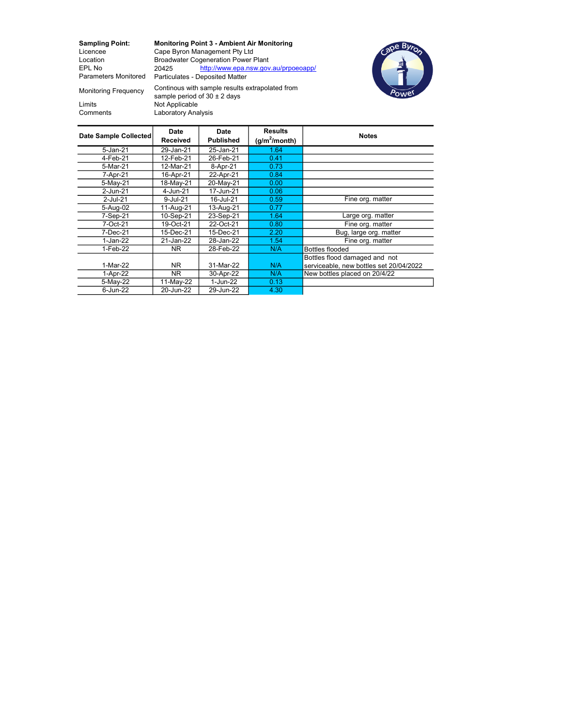Monitoring Frequency

Sampling Point: Monitoring Point 3 - Ambient Air Monitoring<br>
Licencee Cape Byron Management Pty Ltd Licencee Cape Byron Management Pty Ltd<br>
Location Broadwater Cogeneration Power F Location Broadwater Cogeneration Power Plant<br>EPL No 20425 http://www.epa.nsw.gov http://www.epa.nsw.gov.au/prpoeoapp/ Parameters Monitored Particulates - Deposited Matter



Limits Not Applicable<br>Comments Laboratory Ana Laboratory Analysis Continous with sample results extrapolated from sample period of  $30 \pm 2$  days

| Date Sample Collected | Date<br><b>Received</b> | Date<br><b>Published</b> | <b>Results</b><br>$(g/m^2/m$ onth) | <b>Notes</b>                            |
|-----------------------|-------------------------|--------------------------|------------------------------------|-----------------------------------------|
| $5$ -Jan-21           | 29-Jan-21               | 25-Jan-21                | 1.64                               |                                         |
| 4-Feb-21              | 12-Feb-21               | 26-Feb-21                | 0.41                               |                                         |
| 5-Mar-21              | 12-Mar-21               | 8-Apr-21                 | 0.73                               |                                         |
| 7-Apr-21              | 16-Apr-21               | 22-Apr-21                | 0.84                               |                                         |
| 5-May-21              | 18-May-21               | 20-May-21                | 0.00                               |                                         |
| 2-Jun-21              | 4-Jun-21                | 17-Jun-21                | 0.06                               |                                         |
| 2-Jul-21              | 9-Jul-21                | 16-Jul-21                | 0.59                               | Fine org. matter                        |
| 5-Aug-02              | 11-Aug-21               | 13-Aug-21                | 0.77                               |                                         |
| 7-Sep-21              | 10-Sep-21               | 23-Sep-21                | 1.64                               | Large org. matter                       |
| 7-Oct-21              | 19-Oct-21               | 22-Oct-21                | 0.80                               | Fine org. matter                        |
| 7-Dec-21              | 15-Dec-21               | 15-Dec-21                | 2.20                               | Bug, large org. matter                  |
| 1-Jan-22              | 21-Jan-22               | 28-Jan-22                | 1.54                               | Fine org. matter                        |
| 1-Feb-22              | NR.                     | 28-Feb-22                | N/A                                | <b>Bottles flooded</b>                  |
|                       |                         |                          |                                    | Bottles flood damaged and not           |
| 1-Mar-22              | NR.                     | 31-Mar-22                | N/A                                | serviceable, new bottles set 20/04/2022 |
| 1-Apr-22              | NR.                     | 30-Apr-22                | N/A                                | New bottles placed on 20/4/22           |
| 5-May-22              | 11-May-22               | 1-Jun-22                 | 0.13                               |                                         |
| 6-Jun-22              | 20-Jun-22               | 29-Jun-22                | 4.30                               |                                         |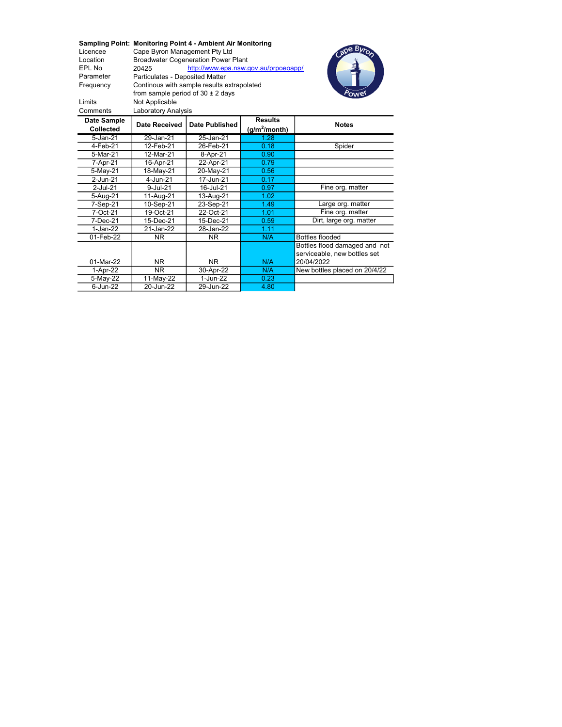Sampling Point: Monitoring Point 4 - Ambient Air Monitoring<br>Licencee Cape Byron Management Pty Ltd Licencee Cape Byron Management Pty Ltd<br>
Location Broadwater Cogeneration Power F Location Broadwater Cogeneration Power Plant<br>EPL No 20425 http://www.epa.nsw.c http://www.epa.nsw.gov.au/prpoeoapp/ Parameter Particulates - Deposited Matter Frequency Limits Not Applicable Continous with sample results extrapolated from sample period of  $30 \pm 2$  days



| <b>Laboratory Analysis</b><br>Comments |               |                       |                                    |                               |  |  |  |  |  |
|----------------------------------------|---------------|-----------------------|------------------------------------|-------------------------------|--|--|--|--|--|
| Date Sample<br><b>Collected</b>        | Date Received | <b>Date Published</b> | <b>Results</b><br>$(g/m^2/m$ onth) | <b>Notes</b>                  |  |  |  |  |  |
| 5-Jan-21                               | 29-Jan-21     | 25-Jan-21             | 1.28                               |                               |  |  |  |  |  |
| 4-Feb-21                               | 12-Feb-21     | 26-Feb-21             | 0.18                               | Spider                        |  |  |  |  |  |
| 5-Mar-21                               | 12-Mar-21     | 8-Apr-21              | 0.90                               |                               |  |  |  |  |  |
| 7-Apr-21                               | 16-Apr-21     | 22-Apr-21             | 0.79                               |                               |  |  |  |  |  |
| 5-May-21                               | 18-May-21     | 20-May-21             | 0.56                               |                               |  |  |  |  |  |
| 2-Jun-21                               | 4-Jun-21      | 17-Jun-21             | 0.17                               |                               |  |  |  |  |  |
| 2-Jul-21                               | 9-Jul-21      | 16-Jul-21             | 0.97                               | Fine org. matter              |  |  |  |  |  |
| 5-Aug-21                               | 11-Aug-21     | 13-Aug-21             | 1.02                               |                               |  |  |  |  |  |
| 7-Sep-21                               | 10-Sep-21     | 23-Sep-21             | 1.49                               | Large org. matter             |  |  |  |  |  |
| 7-Oct-21                               | 19-Oct-21     | 22-Oct-21             | 1.01                               | Fine org. matter              |  |  |  |  |  |
| 7-Dec-21                               | 15-Dec-21     | 15-Dec-21             | 0.59                               | Dirt, large org. matter       |  |  |  |  |  |
| 1-Jan-22                               | 21-Jan-22     | 28-Jan-22             | 1.11                               |                               |  |  |  |  |  |
| 01-Feb-22                              | NR.           | NR.                   | N/A                                | <b>Bottles flooded</b>        |  |  |  |  |  |
|                                        |               |                       |                                    | Bottles flood damaged and not |  |  |  |  |  |
|                                        |               |                       |                                    | serviceable, new bottles set  |  |  |  |  |  |
| 01-Mar-22                              | NR.           | NR.                   | N/A                                | 20/04/2022                    |  |  |  |  |  |
| 1-Apr-22                               | ΝR            | 30-Apr-22             | N/A                                | New bottles placed on 20/4/22 |  |  |  |  |  |
| 5-May-22                               | 11-May-22     | 1-Jun-22              | 0.23                               |                               |  |  |  |  |  |
| 6-Jun-22                               | 20-Jun-22     | 29-Jun-22             | 4.80                               |                               |  |  |  |  |  |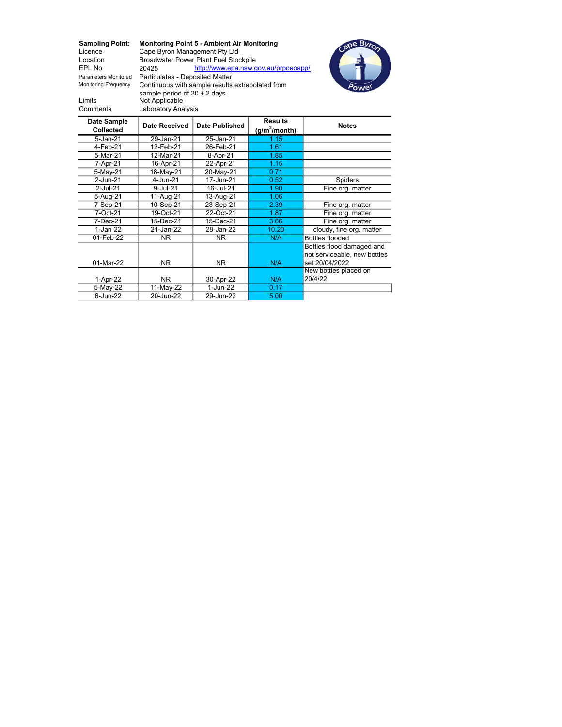Sampling Point: Monitoring Point 5 - Ambient Air Monitoring<br>Licence Cape Byron Management Pty Ltd Licence Cape Byron Management Pty Ltd<br>
Location Broadwater Power Plant Fuel Stoc Location Broadwater Power Plant Fuel Stockpile<br>EPL No 20425 http://www.epa.nsw.g http://www.epa.nsw.gov.au/prpoeoapp/ Parameters Monitored Particulates - Deposited Matter Monitoring Frequency Limits Not Applicable sample period of 30 ± 2 daysComments Laboratory Analysis Continuous with sample results extrapolated from



| Date Sample<br><b>Collected</b> | <b>Date Received</b> | <b>Results</b><br><b>Date Published</b><br>(g/m <sup>2</sup> /month) |       | <b>Notes</b>                 |
|---------------------------------|----------------------|----------------------------------------------------------------------|-------|------------------------------|
| $5 - Jan-21$                    | 29-Jan-21            | 25-Jan-21                                                            | 1.15  |                              |
| 4-Feb-21                        | 12-Feb-21            | 26-Feb-21                                                            | 1.61  |                              |
| 5-Mar-21                        | 12-Mar-21            | 8-Apr-21                                                             | 1.85  |                              |
| 7-Apr-21                        | 16-Apr-21            | 22-Apr-21                                                            | 1.15  |                              |
| 5-May-21                        | 18-May-21            | 20-May-21                                                            | 0.71  |                              |
| 2-Jun-21                        | 4-Jun-21             | 17-Jun-21                                                            | 0.52  | <b>Spiders</b>               |
| $2$ -Jul-21                     | 9-Jul-21             | 16-Jul-21                                                            | 1.90  | Fine org. matter             |
| 5-Aug-21                        | 11-Aug-21            | 13-Aug-21                                                            | 1.06  |                              |
| 7-Sep-21                        | 10-Sep-21            | 23-Sep-21                                                            | 2.39  | Fine org. matter             |
| 7-Oct-21                        | 19-Oct-21            | 22-Oct-21                                                            | 1.87  | Fine org. matter             |
| 7-Dec-21                        | 15-Dec-21            | 15-Dec-21                                                            | 3.66  | Fine org. matter             |
| 1-Jan-22                        | 21-Jan-22            | 28-Jan-22                                                            | 10.20 | cloudy, fine org. matter     |
| 01-Feb-22                       | NR.                  | NR.                                                                  | N/A   | Bottles flooded              |
|                                 |                      |                                                                      |       | Bottles flood damaged and    |
|                                 |                      |                                                                      |       | not serviceable, new bottles |
| 01-Mar-22                       | NR.                  | NR.                                                                  | N/A   | set 20/04/2022               |
|                                 |                      |                                                                      |       | New bottles placed on        |
| 1-Apr-22                        | NR.                  | 30-Apr-22                                                            | N/A   | 20/4/22                      |
| 5-May-22                        | 11-May-22            | 1-Jun-22                                                             | 0.17  |                              |
| 6-Jun-22                        | 20-Jun-22            | 29-Jun-22                                                            | 5.00  |                              |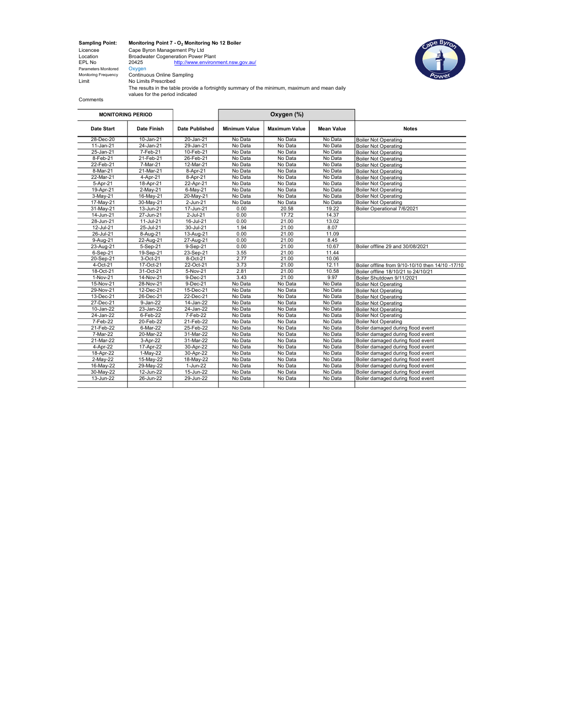**Sampling Point:**<br>Licencee<br>Location<br>EPL No<br>Parameters Monitored<br>Monitoring Frequency

Sampling Point: Monitoring Point 7 - O<sup>2</sup> Monitoring No 12 Boiler Licencee Cape Byron Management Pty Ltd Location Broadwater Cogeneration Power Plant EPL No 20425 http://www.environment.nsw.gov.au/

Monitoring Frequency Continuous Online Sampling Limit No Limits Prescribed The results in the table provide a fortnightly summary of the minimum, maximum and mean daily values for the period indicated

 $\blacksquare$ 

Comments

|                   | <b>MONITORING PERIOD</b> |                | Oxygen (%)           |                      |            |                                                  |
|-------------------|--------------------------|----------------|----------------------|----------------------|------------|--------------------------------------------------|
| <b>Date Start</b> | Date Finish              | Date Published | <b>Minimum Value</b> | <b>Maximum Value</b> | Mean Value | <b>Notes</b>                                     |
| 28-Dec-20         | 10-Jan-21                | 20-Jan-21      | No Data              | No Data              | No Data    | <b>Boiler Not Operating</b>                      |
| 11-Jan-21         | 24-Jan-21                | 29-Jan-21      | No Data              | No Data              | No Data    | <b>Boiler Not Operating</b>                      |
| 25-Jan-21         | 7-Feb-21                 | 10-Feb-21      | No Data              | No Data              | No Data    | <b>Boiler Not Operating</b>                      |
| 8-Feb-21          | 21-Feb-21                | 26-Feb-21      | No Data              | No Data              | No Data    | <b>Boiler Not Operating</b>                      |
| 22-Feb-21         | 7-Mar-21                 | 12-Mar-21      | No Data              | No Data              | No Data    | <b>Boiler Not Operating</b>                      |
| 8-Mar-21          | 21-Mar-21                | 8-Apr-21       | No Data              | No Data              | No Data    | <b>Boiler Not Operating</b>                      |
| 22-Mar-21         | 4-Apr-21                 | 8-Apr-21       | No Data              | No Data              | No Data    | <b>Boiler Not Operating</b>                      |
| 5-Apr-21          | 18-Apr-21                | 22-Apr-21      | No Data              | No Data              | No Data    | <b>Boiler Not Operating</b>                      |
| 19-Apr-21         | $2-May-21$               | $6$ -May-21    | No Data              | No Data              | No Data    | <b>Boiler Not Operating</b>                      |
| 3-May-21          | 16-May-21                | 20-May-21      | No Data              | No Data              | No Data    | <b>Boiler Not Operating</b>                      |
| 17-May-21         | 30-May-21                | 2-Jun-21       | No Data              | No Data              | No Data    | <b>Boiler Not Operating</b>                      |
| 31-May-21         | 13-Jun-21                | 17-Jun-21      | 0.00                 | 20.58                | 19.22      | Boiler Operational 7/6/2021                      |
| 14-Jun-21         | 27-Jun-21                | 2-Jul-21       | 0.00                 | 17.72                | 14.37      |                                                  |
| 28-Jun-21         | 11-Jul-21                | 16-Jul-21      | 0.00                 | 21.00                | 13.02      |                                                  |
| 12-Jul-21         | 25-Jul-21                | 30-Jul-21      | 1.94                 | 21.00                | 8.07       |                                                  |
| 26-Jul-21         | 8-Aug-21                 | 13-Aug-21      | 0.00                 | 21.00                | 11.09      |                                                  |
| 9-Aug-21          | 22-Aug-21                | 27-Aug-21      | 0.00                 | 21.00                | 8.45       |                                                  |
| 23-Aug-21         | 5-Sep-21                 | 9-Sep-21       | 0.00                 | 21.00                | 10.67      | Boiler offline 29 and 30/08/2021                 |
| 6-Sep-21          | 19-Sep-21                | 23-Sep-21      | 3.55                 | 21.00                | 11.44      |                                                  |
| 20-Sep-21         | 3-Oct-21                 | 8-Oct-21       | 2.77                 | 21.00                | 10.06      |                                                  |
| 4-Oct-21          | 17-Oct-21                | 22-Oct-21      | 3.73                 | 21.00                | 12.11      | Boiler offline from 9/10-10/10 then 14/10 -17/10 |
| 18-Oct-21         | 31-Oct-21                | 5-Nov-21       | 2.81                 | 21.00                | 10.58      | Boiler offline 18/10/21 to 24/10/21              |
| 1-Nov-21          | 14-Nov-21                | 9-Dec-21       | 3.43                 | 21.00                | 9.97       | Boiler Shutdown 9/11/2021                        |
| 15-Nov-21         | 28-Nov-21                | 9-Dec-21       | No Data              | No Data              | No Data    | <b>Boiler Not Operating</b>                      |
| 29-Nov-21         | 12-Dec-21                | 15-Dec-21      | No Data              | No Data              | No Data    | <b>Boiler Not Operating</b>                      |
| 13-Dec-21         | 26-Dec-21                | 22-Dec-21      | No Data              | No Data              | No Data    | <b>Boiler Not Operating</b>                      |
| 27-Dec-21         | 9-Jan-22                 | 14-Jan-22      | No Data              | No Data              | No Data    | <b>Boiler Not Operating</b>                      |
| 10-Jan-22         | 23-Jan-22                | 24-Jan-22      | No Data              | No Data              | No Data    | <b>Boiler Not Operating</b>                      |
| 24-Jan-22         | 6-Feb-22                 | 7-Feb-22       | No Data              | No Data              | No Data    | <b>Boiler Not Operating</b>                      |
| 7-Feb-22          | 20-Feb-22                | 21-Feb-22      | No Data              | No Data              | No Data    | <b>Boiler Not Operating</b>                      |
| 21-Feb-22         | 6-Mar-22                 | 25-Feb-22      | No Data              | No Data              | No Data    | Boiler damaged during flood event                |
| 7-Mar-22          | 20-Mar-22                | 31-Mar-22      | No Data              | No Data              | No Data    | Boiler damaged during flood event                |
| 21-Mar-22         | 3-Apr-22                 | 31-Mar-22      | No Data              | No Data              | No Data    | Boiler damaged during flood event                |
| 4-Apr-22          | 17-Apr-22                | 30-Apr-22      | No Data              | No Data              | No Data    | Boiler damaged during flood event                |
| 18-Apr-22         | 1-May-22                 | 30-Apr-22      | No Data              | No Data              | No Data    | Boiler damaged during flood event                |
| 2-May-22          | 15-May-22                | 18-May-22      | No Data              | No Data              | No Data    | Boiler damaged during flood event                |
| 16-May-22         | 29-May-22                | 1-Jun-22       | No Data              | No Data              | No Data    | Boiler damaged during flood event                |
| 30-May-22         | 12-Jun-22                | 15-Jun-22      | No Data              | No Data              | No Data    | Boiler damaged during flood event                |
| 13-Jun-22         | 26-Jun-22                | 29-Jun-22      | No Data              | No Data              | No Data    | Boiler damaged during flood event                |
|                   |                          |                |                      |                      |            |                                                  |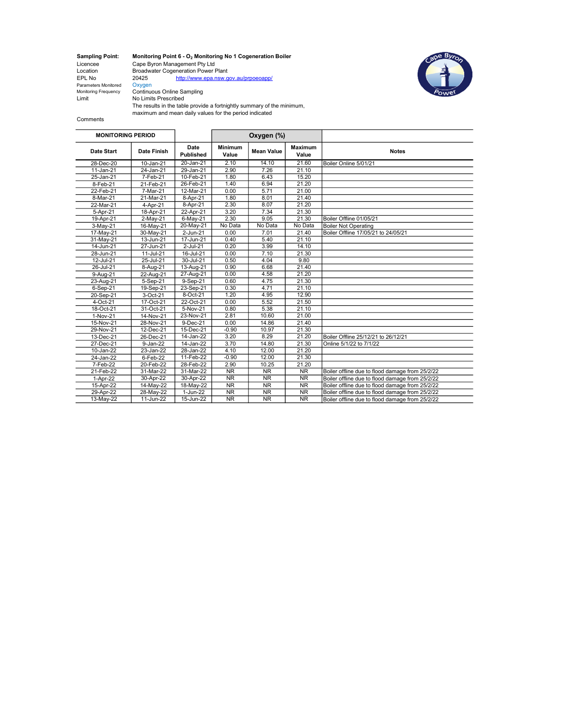Parameters Monitored<br>Monitoring Frequency Monitoring Frequency Continuous Online Sampling Limit No Limits Prescribed

Sampling Point: Monitoring Point 6 -  $O_2$  Monitoring No 1 Cogeneration Boiler Licencee Cape Byron Management Pty Ltd Location Broadwater Cogeneration Power Plant EPL No 20425 http://www.epa.nsw.gov.au/prpoeoapp/



The results in the table provide a fortnightly summary of the minimum, maximum and mean daily values for the period indicated

Comments

| <b>MONITORING PERIOD</b> |             |                   |                         | Oxygen (%)             |                         |                                                 |
|--------------------------|-------------|-------------------|-------------------------|------------------------|-------------------------|-------------------------------------------------|
| Date Start               | Date Finish | Date<br>Published | <b>Minimum</b><br>Value | <b>Mean Value</b>      | <b>Maximum</b><br>Value | <b>Notes</b>                                    |
| 28-Dec-20                | 10-Jan-21   | 20-Jan-21         | 2.10                    | 14.10                  | 21.60                   | Boiler Online 5/01/21                           |
| 11-Jan-21                | 24-Jan-21   | 29-Jan-21         | 2.90                    | 7.26                   | 21.10                   |                                                 |
| 25-Jan-21                | 7-Feb-21    | 10-Feb-21         | 1.80                    | 6.43                   | 15.20                   |                                                 |
| 8-Feb-21                 | 21-Feb-21   | 26-Feb-21         | 1.40                    | 6.94                   | 21.20                   |                                                 |
| 22-Feb-21                | 7-Mar-21    | 12-Mar-21         | 0.00                    | 5.71                   | 21.00                   |                                                 |
| 8-Mar-21                 | 21-Mar-21   | 8-Apr-21          | 1.80                    | 8.01                   | 21.40                   |                                                 |
| 22-Mar-21                | 4-Apr-21    | 8-Apr-21          | 2.30                    | 8.07                   | 21.20                   |                                                 |
| 5-Apr-21                 | 18-Apr-21   | 22-Apr-21         | 3.20                    | 7.34                   | 21.30                   |                                                 |
| 19-Apr-21                | $2-May-21$  | 6-May-21          | 2.30                    | 9.05                   | 21.30                   | Boiler Offline 01/05/21                         |
| 3-May-21                 | 16-May-21   | 20-May-21         | No Data                 | No Data                | No Data                 | <b>Boiler Not Operating</b>                     |
| 17-May-21                | 30-May-21   | 2-Jun-21          | 0.00                    | 7.01                   | 21.40                   | Boiler Offline 17/05/21 to 24/05/21             |
| 31-May-21                | 13-Jun-21   | 17-Jun-21         | 0.40                    | 5.40                   | 21.10                   |                                                 |
| 14-Jun-21                | 27-Jun-21   | $2$ -Jul-21       | 0.20                    | 3.99                   | 14.10                   |                                                 |
| 28-Jun-21                | 11-Jul-21   | 16-Jul-21         | 0.00                    | 7.10                   | 21.30                   |                                                 |
| 12-Jul-21                | 25-Jul-21   | 30-Jul-21         | 0.50                    | 4.04                   | 9.80                    |                                                 |
| 26-Jul-21                | 8-Aug-21    | 13-Aug-21         | 0.90                    | 6.68                   | 21.40                   |                                                 |
| 9-Aug-21                 | 22-Aug-21   | 27-Aug-21         | 0.00                    | 4.58                   | 21.20                   |                                                 |
| 23-Aug-21                | 5-Sep-21    | 9-Sep-21          | 0.60                    | 4.75                   | 21.30                   |                                                 |
| 6-Sep-21                 | 19-Sep-21   | 23-Sep-21         | 0.30                    | 4.71                   | 21.10                   |                                                 |
| 20-Sep-21                | 3-Oct-21    | 8-Oct-21          | 1.20                    | 4.95                   | 12.90                   |                                                 |
| 4-Oct-21                 | 17-Oct-21   | 22-Oct-21         | 0.00                    | 5.52                   | 21.50                   |                                                 |
| 18-Oct-21                | 31-Oct-21   | 5-Nov-21          | 0.80                    | 5.38                   | 21.10                   |                                                 |
| 1-Nov-21                 | 14-Nov-21   | 23-Nov-21         | 2.81                    | 10.60                  | 21.00                   |                                                 |
| 15-Nov-21                | 28-Nov-21   | 9-Dec-21          | 0.00                    | 14.86                  | 21.40                   |                                                 |
| 29-Nov-21                | 12-Dec-21   | 15-Dec-21         | $-0.90$                 | 10.97                  | 21.30                   |                                                 |
| 13-Dec-21                | 26-Dec-21   | 14-Jan-22         | 3.20                    | 8.29                   | 21.20                   | Boiler Offline 25/12/21 to 26/12/21             |
| 27-Dec-21                | 9-Jan-22    | 14-Jan-22         | 3.70                    | 14.80                  | 21.30                   | Online 5/1/22 to 7/1/22                         |
| 10-Jan-22                | 23-Jan-22   | 28-Jan-22         | 4.10                    | 12.00                  | 21.20                   |                                                 |
| 24-Jan-22                | 6-Feb-22    | 11-Feb-22         | $-0.90$                 | 12.00                  | 21.30                   |                                                 |
| 7-Feb-22                 | 20-Feb-22   | 28-Feb-22         | 2.90                    | 10.25                  | 21.20                   |                                                 |
| 21-Feb-22                | 31-Mar-22   | 31-Mar-22         | <b>NR</b>               | <b>NR</b>              | <b>NR</b>               | Boiler offline due to flood damage from 25/2/22 |
| 1-Apr-22                 | 30-Apr-22   | 30-Apr-22         | <b>NR</b>               | <b>NR</b>              | <b>NR</b>               | Boiler offline due to flood damage from 25/2/22 |
| 15-Apr-22                | 14-May-22   | 18-May-22         | NR                      | NR                     | NR                      | Boiler offline due to flood damage from 25/2/22 |
| 29-Apr-22                | 28-May-22   | 1-Jun-22          | $\overline{\text{NR}}$  | NR                     | NR                      | Boiler offline due to flood damage from 25/2/22 |
| 13-May-22                | 11-Jun-22   | 15-Jun-22         | $\overline{\text{NR}}$  | $\overline{\text{NR}}$ | $\overline{\text{NR}}$  | Boiler offline due to flood damage from 25/2/22 |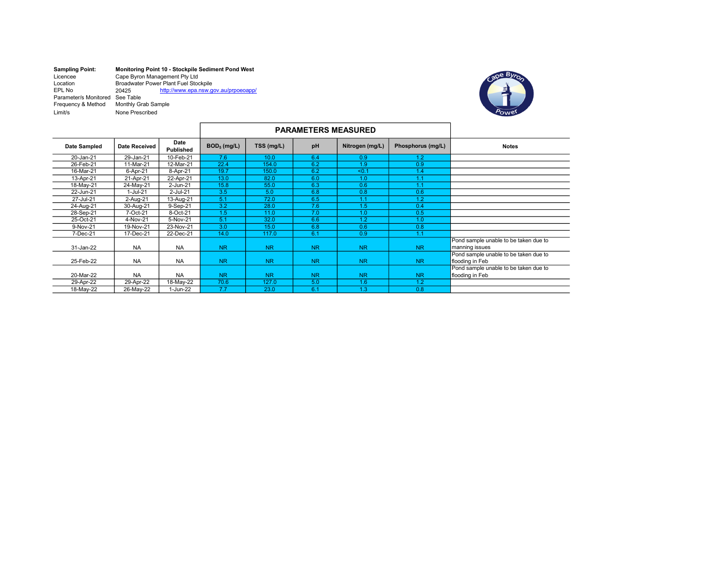| <b>Sampling Point:</b> | Monitoring Point 10 - Stockpile Sediment Pond West |                                      |  |  |  |  |
|------------------------|----------------------------------------------------|--------------------------------------|--|--|--|--|
| Licencee               | Cape Byron Management Pty Ltd                      |                                      |  |  |  |  |
| Location               | <b>Broadwater Power Plant Fuel Stockpile</b>       |                                      |  |  |  |  |
| EPL No                 | 20425                                              | http://www.epa.nsw.gov.au/prpoeoapp/ |  |  |  |  |
| Parameter/s Monitored  | See Table                                          |                                      |  |  |  |  |
| Frequency & Method     | Monthly Grab Sample                                |                                      |  |  |  |  |
| Limit/s                | None Prescribed                                    |                                      |  |  |  |  |



|                     |                      |                          |                | <b>PARAMETERS MEASURED</b> |           |                 |                   |                                                          |
|---------------------|----------------------|--------------------------|----------------|----------------------------|-----------|-----------------|-------------------|----------------------------------------------------------|
| <b>Date Sampled</b> | <b>Date Received</b> | Date<br><b>Published</b> | $BOD5$ (mg/L)  | TSS (mg/L)                 | pH        | Nitrogen (mg/L) | Phosphorus (mg/L) | <b>Notes</b>                                             |
| 20-Jan-21           | 29-Jan-21            | 10-Feb-21                | 7.6            | 10.0                       | 6.4       | 0.9             | 1.2               |                                                          |
| 26-Feb-21           | 11-Mar-21            | 12-Mar-21                | 22.4           | 154.0                      | 6.2       | 1.9             | 0.9               |                                                          |
| 16-Mar-21           | 6-Apr-21             | 8-Apr-21                 | 19.7           | 150.0                      | 6.2       | < 0.1           | 1.4               |                                                          |
| 13-Apr-21           | 21-Apr-21            | 22-Apr-21                | 13.0           | 82.0                       | 6.0       | 1.0             | 1.1               |                                                          |
| 18-May-21           | 24-May-21            | 2-Jun-21                 | 15.8           | 55.0                       | 6.3       | 0.6             | 1.1               |                                                          |
| 22-Jun-21           | 1-Jul-21             | $2$ -Jul-21              | 3.5            | 5.0                        | 6.8       | 0.8             | 0.6               |                                                          |
| 27-Jul-21           | 2-Aug-21             | 13-Aug-21                | 5.1            | 72.0                       | 6.5       | 1.1             | 1.2               |                                                          |
| 24-Aug-21           | 30-Aug-21            | 9-Sep-21                 | 3.2            | 28.0                       | 7.6       | 1.5             | 0.4               |                                                          |
| 28-Sep-21           | 7-Oct-21             | 8-Oct-21                 | 1.5            | 11.0                       | 7.0       | 1.0             | 0.5               |                                                          |
| 25-Oct-21           | 4-Nov-21             | 5-Nov-21                 | 5.1            | 32.0                       | 6.6       | 1.2             | 1.0               |                                                          |
| 9-Nov-21            | 19-Nov-21            | 23-Nov-21                | 3.0            | 15.0                       | 6.8       | 0.6             | 0.8               |                                                          |
| 7-Dec-21            | 17-Dec-21            | 22-Dec-21                | 14.0           | 117.0                      | 6.1       | 0.9             | 1.1               |                                                          |
| 31-Jan-22           | <b>NA</b>            | <b>NA</b>                | <b>NR</b>      | <b>NR</b>                  | <b>NR</b> | <b>NR</b>       | <b>NR</b>         | Pond sample unable to be taken due to<br>manning issues  |
| 25-Feb-22           | <b>NA</b>            | <b>NA</b>                | N <sub>R</sub> | <b>NR</b>                  | <b>NR</b> | N <sub>R</sub>  | N <sub>R</sub>    | Pond sample unable to be taken due to<br>flooding in Feb |
| 20-Mar-22           | <b>NA</b>            | <b>NA</b>                | <b>NR</b>      | <b>NR</b>                  | <b>NR</b> | N <sub>R</sub>  | N <sub>R</sub>    | Pond sample unable to be taken due to<br>flooding in Feb |
| 29-Apr-22           | 29-Apr-22            | 18-May-22                | 70.6           | 127.0                      | 5.0       | 1.6             | 1.2               |                                                          |
| 18-May-22           | 26-May-22            | 1-Jun-22                 | 7.7            | 23.0                       | 6.1       | 1.3             | 0.8               |                                                          |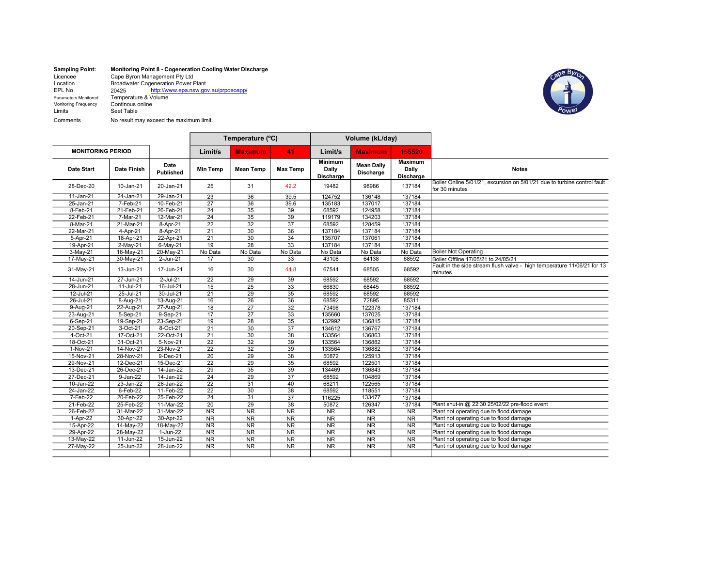| <b>Sampling Point:</b> | Monitoring Point 8 - Cogeneration Cooling Water Discharge |  |  |  |  |  |  |
|------------------------|-----------------------------------------------------------|--|--|--|--|--|--|
| Licencee               | Cape Byron Management Pty Ltd                             |  |  |  |  |  |  |
| Location               | <b>Broadwater Cogeneration Power Plant</b>                |  |  |  |  |  |  |
| EPL No                 | http://www.epa.nsw.gov.au/prpoeoapp/<br>20425             |  |  |  |  |  |  |
| Parameters Monitored   | Temperature & Volume                                      |  |  |  |  |  |  |
| Monitoring Frequency   | Continous online                                          |  |  |  |  |  |  |
| Limits                 | Seet Table                                                |  |  |  |  |  |  |
| Comments               | No result may exceed the maximum limit.                   |  |  |  |  |  |  |



|                          |                    |                   |                        | Temperature (°C)       |                        | Volume (kL/day)                      |                                |                                      |                                                                                            |
|--------------------------|--------------------|-------------------|------------------------|------------------------|------------------------|--------------------------------------|--------------------------------|--------------------------------------|--------------------------------------------------------------------------------------------|
| <b>MONITORING PERIOD</b> |                    |                   | Limit/s                | <b>Maximum</b>         | 41                     | Limit/s                              | <b>Maximum</b>                 | 155520                               |                                                                                            |
| Date Start               | <b>Date Finish</b> | Date<br>Published | <b>Min Temp</b>        | <b>Mean Temp</b>       | <b>Max Temp</b>        | <b>Minimum</b><br>Daily<br>Discharge | <b>Mean Daily</b><br>Discharge | <b>Maximum</b><br>Daily<br>Discharge | <b>Notes</b>                                                                               |
| 28-Dec-20                | 10-Jan-21          | 20-Jan-21         | 25                     | 31                     | 42.2                   | 19482                                | 98986                          | 137184                               | Boiler Online 5/01/21, excursion on 5/01/21 due to turbine control fault<br>for 30 minutes |
| 11-Jan-21                | 24-Jan-21          | 29-Jan-21         | $\overline{23}$        | 36                     | 39.5                   | 124752                               | 136148                         | 137184                               |                                                                                            |
| 25-Jan-21                | 7-Feb-21           | 10-Feb-21         | $\overline{27}$        | $\overline{36}$        | 39.6                   | 135183                               | 137017                         | 137184                               |                                                                                            |
| 8-Feb-21                 | 21-Feb-21          | 26-Feb-21         | $\overline{24}$        | 35                     | 39                     | 68592                                | 124958                         | 137184                               |                                                                                            |
| 22-Feb-21                | 7-Mar-21           | 12-Mar-21         | $\overline{24}$        | 35                     | 39                     | 119179                               | 134203                         | 137184                               |                                                                                            |
| 8-Mar-21                 | 21-Mar-21          | 8-Apr-21          | $\overline{22}$        | 32                     | $\overline{37}$        | 68592                                | 128459                         | 137184                               |                                                                                            |
| 22-Mar-21                | 4-Apr-21           | 8-Apr-21          | 21                     | 30                     | 36                     | 137184                               | 137184                         | 137184                               |                                                                                            |
| 5-Apr-21                 | 18-Apr-21          | 22-Apr-21         | $\overline{21}$        | $\overline{30}$        | 34                     | 135707                               | 137061                         | 137184                               |                                                                                            |
| 19-Apr-21                | $2-May-21$         | 6-May-21          | 19                     | $\overline{28}$        | $\overline{33}$        | 137184                               | 137184                         | 137184                               |                                                                                            |
| $3-May-21$               | 16-May-21          | 20-May-21         | No Data                | No Data                | No Data                | No Data                              | No Data                        | No Data                              | <b>Boiler Not Operating</b>                                                                |
| 17-May-21                | 30-May-21          | $2 - Jun-21$      | 17                     | 30                     | 33                     | 43108                                | 64138                          | 68592                                | Boiler Offline 17/05/21 to 24/05/21                                                        |
| 31-May-21                | 13-Jun-21          | 17-Jun-21         | 16                     | 30                     | 44.8                   | 67544                                | 68505                          | 68592                                | Fault in the side stream flush valve - high temperature 11/06/21 for 13<br>minutes         |
| 14-Jun-21                | 27-Jun-21          | $2$ -Jul-21       | 22                     | 29                     | 39                     | 68592                                | 68592                          | 68592                                |                                                                                            |
| 28-Jun-21                | $11-Jul-21$        | 16-Jul-21         | $\overline{15}$        | $\overline{25}$        | $\overline{33}$        | 66830                                | 68445                          | 68592                                |                                                                                            |
| 12-Jul-21                | 25-Jul-21          | 30-Jul-21         | $\overline{21}$        | $\overline{29}$        | 35                     | 68592                                | 68592                          | 68592                                |                                                                                            |
| 26-Jul-21                | 8-Aug-21           | 13-Aug-21         | 16                     | 26                     | 36                     | 68592                                | 72895                          | 85311                                |                                                                                            |
| 9-Aug-21                 | 22-Aug-21          | 27-Aug-21         | 18                     | $\overline{27}$        | $\overline{32}$        | 73498                                | 122378                         | 137184                               |                                                                                            |
| 23-Aug-21                | 5-Sep-21           | 9-Sep-21          | 17                     | 27                     | 33                     | 135660                               | 137025                         | 137184                               |                                                                                            |
| 6-Sep-21                 | 19-Sep-21          | 23-Sep-21         | 19                     | 28                     | 35                     | 132992                               | 136815                         | 137184                               |                                                                                            |
| 20-Sep-21                | 3-Oct-21           | 8-Oct-21          | 21                     | $\overline{30}$        | $\overline{37}$        | 134612                               | 136767                         | 137184                               |                                                                                            |
| 4-Oct-21                 | 17-Oct-21          | 22-Oct-21         | $\overline{21}$        | $\overline{30}$        | 38                     | 133564                               | 136863                         | 137184                               |                                                                                            |
| 18-Oct-21                | 31-Oct-21          | 5-Nov-21          | $\overline{22}$        | $\overline{32}$        | 39                     | 133564                               | 136882                         | 137184                               |                                                                                            |
| 1-Nov-21                 | 14-Nov-21          | 23-Nov-21         | $\overline{22}$        | 32                     | 39                     | 133564                               | 136882                         | 137184                               |                                                                                            |
| 15-Nov-21                | 28-Nov-21          | 9-Dec-21          | 20                     | $\overline{29}$        | $\overline{38}$        | 50872                                | 125913                         | 137184                               |                                                                                            |
| 29-Nov-21                | 12-Dec-21          | 15-Dec-21         | $\overline{22}$        | 29                     | 35                     | 68592                                | 122501                         | 137184                               |                                                                                            |
| 13-Dec-21                | 26-Dec-21          | 14-Jan-22         | 29                     | $\overline{35}$        | 39                     | 134469                               | 136843                         | 137184                               |                                                                                            |
| 27-Dec-21                | $9 - Jan-22$       | 14-Jan-22         | $\overline{24}$        | $\overline{29}$        | $\overline{37}$        | 68592                                | 104869                         | 137184                               |                                                                                            |
| 10-Jan-22                | $23 - Jan-22$      | 28-Jan-22         | $\overline{22}$        | 31                     | 40                     | 68211                                | 122565                         | 137184                               |                                                                                            |
| 24-Jan-22                | 6-Feb-22           | 11-Feb-22         | $\overline{22}$        | 30                     | 38                     | 68592                                | 118551                         | 137184                               |                                                                                            |
| 7-Feb-22                 | 20-Feb-22          | 25-Feb-22         | 24                     | $\overline{31}$        | $\overline{37}$        | 116225                               | 133477                         | 137184                               |                                                                                            |
| 21-Feb-22                | 25-Feb-22          | 11-Mar-22         | 20                     | 29                     | 38                     | 50872                                | 126347                         | 137184                               | Plant shut-in @ 22:30 25/02/22 pre-flood event                                             |
| 26-Feb-22                | 31-Mar-22          | 31-Mar-22         | $\overline{\text{NR}}$ | NR                     | <b>NR</b>              | <b>NR</b>                            | <b>NR</b>                      | NR                                   | Plant not operating due to flood damage                                                    |
| 1-Apr-22                 | 30-Apr-22          | 30-Apr-22         | $\overline{\text{NR}}$ | $\overline{\text{NR}}$ | $\overline{\text{NR}}$ | <b>NR</b>                            | <b>NR</b>                      | $\overline{\text{NR}}$               | Plant not operating due to flood damage                                                    |
| 15-Apr-22                | 14-May-22          | 18-May-22         | NR                     | NR                     | $\overline{\text{NR}}$ | NR                                   | NR                             | NR                                   | Plant not operating due to flood damage                                                    |
| 29-Apr-22                | 28-May-22          | $1-Jun-22$        | $\overline{\text{NR}}$ | $\overline{\text{NR}}$ | $\overline{\text{NR}}$ | $\overline{\text{NR}}$               | $\overline{\text{NR}}$         | $\overline{\text{NR}}$               | Plant not operating due to flood damage                                                    |
| 13-May-22                | 11-Jun-22          | 15-Jun-22         | $\overline{\text{NR}}$ | $\overline{\text{NR}}$ | NR                     | $\overline{\text{NR}}$               | $\overline{\text{NR}}$         | $\overline{\text{NR}}$               | Plant not operating due to flood damage                                                    |
| 27-May-22                | 25-Jun-22          | 28-Jun-22         | <b>NR</b>              | NR                     | $\overline{\text{NR}}$ | $\overline{\text{NR}}$               | <b>NR</b>                      | <b>NR</b>                            | Plant not operating due to flood damage                                                    |
|                          |                    |                   |                        |                        |                        |                                      |                                |                                      |                                                                                            |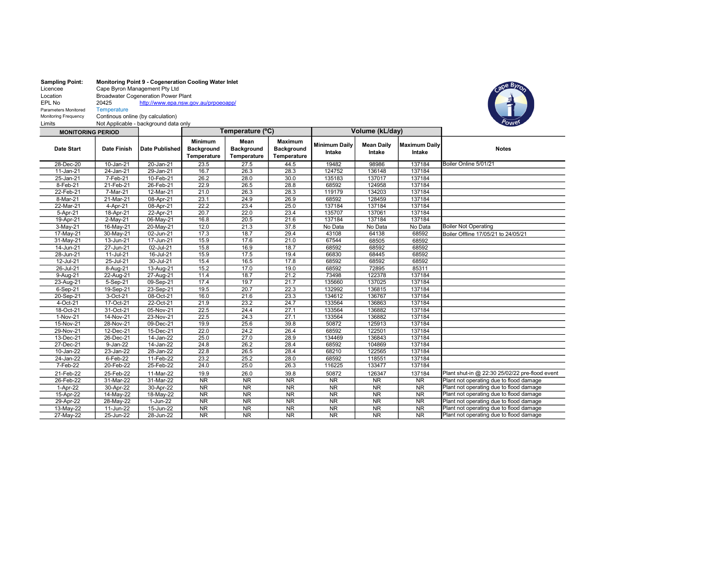| <b>Sampling Point:</b> | <b>Monitoring Point 9 - Cogeneration Cooling Water Inlet</b> |                                      |  |  |
|------------------------|--------------------------------------------------------------|--------------------------------------|--|--|
| Licencee               | Cape Byron Management Pty Ltd                                |                                      |  |  |
| Location               | <b>Broadwater Cogeneration Power Plant</b>                   |                                      |  |  |
| EPL No                 | 20425                                                        | http://www.epa.nsw.gov.au/prpoeoapp/ |  |  |
| Parameters Monitored   | <b>Temperature</b>                                           |                                      |  |  |
| Monitoring Frequency   | Continous online (by calculation)                            |                                      |  |  |
| Limits                 | Not Applicable - background data only                        |                                      |  |  |



| <b>MONITORING PERIOD</b> |              |                |                                             | Temperature (°C)                         |                                             | Volume (kL/day)                |                             |                                |                                                |
|--------------------------|--------------|----------------|---------------------------------------------|------------------------------------------|---------------------------------------------|--------------------------------|-----------------------------|--------------------------------|------------------------------------------------|
| Date Start               | Date Finish  | Date Published | <b>Minimum</b><br>Background<br>Temperature | Mean<br><b>Background</b><br>Temperature | <b>Maximum</b><br>Background<br>Temperature | <b>Minimum Daily</b><br>Intake | <b>Mean Daily</b><br>Intake | <b>Maximum Daily</b><br>Intake | <b>Notes</b>                                   |
| 28-Dec-20                | 10-Jan-21    | 20-Jan-21      | 23.5                                        | 27.5                                     | 44.5                                        | 19482                          | 98986                       | 137184                         | Boiler Online 5/01/21                          |
| 11-Jan-21                | $24$ -Jan-21 | 29-Jan-21      | 16.7                                        | 26.3                                     | 28.3                                        | 124752                         | 136148                      | 137184                         |                                                |
| 25-Jan-21                | 7-Feb-21     | 10-Feb-21      | 26.2                                        | 28.0                                     | 30.0                                        | 135183                         | 137017                      | 137184                         |                                                |
| 8-Feb-21                 | 21-Feb-21    | 26-Feb-21      | 22.9                                        | 26.5                                     | 28.8                                        | 68592                          | 124958                      | 137184                         |                                                |
| 22-Feb-21                | 7-Mar-21     | 12-Mar-21      | 21.0                                        | 26.3                                     | 28.3                                        | 119179                         | 134203                      | 137184                         |                                                |
| 8-Mar-21                 | 21-Mar-21    | 08-Apr-21      | 23.1                                        | 24.9                                     | 26.9                                        | 68592                          | 128459                      | 137184                         |                                                |
| 22-Mar-21                | 4-Apr-21     | 08-Apr-21      | 22.2                                        | 23.4                                     | 25.0                                        | 137184                         | 137184                      | 137184                         |                                                |
| 5-Apr-21                 | 18-Apr-21    | 22-Apr-21      | 20.7                                        | 22.0                                     | 23.4                                        | 135707                         | 137061                      | 137184                         |                                                |
| 19-Apr-21                | 2-May-21     | 06-May-21      | 16.8                                        | 20.5                                     | 21.6                                        | 137184                         | 137184                      | 137184                         |                                                |
| 3-May-21                 | 16-May-21    | 20-May-21      | 12.0                                        | 21.3                                     | 37.8                                        | No Data                        | No Data                     | No Data                        | <b>Boiler Not Operating</b>                    |
| 17-May-21                | 30-May-21    | 02-Jun-21      | 17.3                                        | 18.7                                     | 29.4                                        | 43108                          | 64138                       | 68592                          | Boiler Offline 17/05/21 to 24/05/21            |
| 31-May-21                | 13-Jun-21    | 17-Jun-21      | 15.9                                        | 17.6                                     | 21.0                                        | 67544                          | 68505                       | 68592                          |                                                |
| 14-Jun-21                | 27-Jun-21    | 02-Jul-21      | 15.8                                        | 16.9                                     | 18.7                                        | 68592                          | 68592                       | 68592                          |                                                |
| 28-Jun-21                | 11-Jul-21    | 16-Jul-21      | 15.9                                        | 17.5                                     | 19.4                                        | 66830                          | 68445                       | 68592                          |                                                |
| 12-Jul-21                | 25-Jul-21    | 30-Jul-21      | 15.4                                        | 16.5                                     | 17.8                                        | 68592                          | 68592                       | 68592                          |                                                |
| 26-Jul-21                | 8-Aug-21     | 13-Aug-21      | 15.2                                        | 17.0                                     | 19.0                                        | 68592                          | 72895                       | 85311                          |                                                |
| 9-Aug-21                 | 22-Aug-21    | 27-Aug-21      | 11.4                                        | 18.7                                     | 21.2                                        | 73498                          | 122378                      | 137184                         |                                                |
| 23-Aug-21                | 5-Sep-21     | 09-Sep-21      | 17.4                                        | 19.7                                     | 21.7                                        | 135660                         | 137025                      | 137184                         |                                                |
| 6-Sep-21                 | 19-Sep-21    | 23-Sep-21      | 19.5                                        | 20.7                                     | 22.3                                        | 132992                         | 136815                      | 137184                         |                                                |
| 20-Sep-21                | 3-Oct-21     | 08-Oct-21      | 16.0                                        | 21.6                                     | 23.3                                        | 134612                         | 136767                      | 137184                         |                                                |
| 4-Oct-21                 | 17-Oct-21    | 22-Oct-21      | 21.9                                        | 23.2                                     | 24.7                                        | 133564                         | 136863                      | 137184                         |                                                |
| 18-Oct-21                | 31-Oct-21    | 05-Nov-21      | 22.5                                        | 24.4                                     | 27.1                                        | 133564                         | 136882                      | 137184                         |                                                |
| 1-Nov-21                 | 14-Nov-21    | 23-Nov-21      | 22.5                                        | 24.3                                     | 27.1                                        | 133564                         | 136882                      | 137184                         |                                                |
| 15-Nov-21                | 28-Nov-21    | 09-Dec-21      | 19.9                                        | 25.6                                     | 39.8                                        | 50872                          | 125913                      | 137184                         |                                                |
| 29-Nov-21                | 12-Dec-21    | 15-Dec-21      | 22.0                                        | 24.2                                     | 26.4                                        | 68592                          | 122501                      | 137184                         |                                                |
| 13-Dec-21                | 26-Dec-21    | 14-Jan-22      | 25.0                                        | 27.0                                     | 28.9                                        | 134469                         | 136843                      | 137184                         |                                                |
| 27-Dec-21                | 9-Jan-22     | 14-Jan-22      | 24.8                                        | 26.2                                     | 28.4                                        | 68592                          | 104869                      | 137184                         |                                                |
| 10-Jan-22                | 23-Jan-22    | 28-Jan-22      | 22.8                                        | 26.5                                     | 28.4                                        | 68210                          | 122565                      | 137184                         |                                                |
| 24-Jan-22                | $6-Feb-22$   | 11-Feb-22      | 23.2                                        | 25.2                                     | 28.0                                        | 68592                          | 118551                      | 137184                         |                                                |
| 7-Feb-22                 | 20-Feb-22    | 25-Feb-22      | 24.0                                        | 25.0                                     | 26.3                                        | 116225                         | 133477                      | 137184                         |                                                |
| 21-Feb-22                | 25-Feb-22    | 11-Mar-22      | 19.9                                        | 26.0                                     | 39.8                                        | 50872                          | 126347                      | 137184                         | Plant shut-in @ 22:30 25/02/22 pre-flood event |
| 26-Feb-22                | 31-Mar-22    | 31-Mar-22      | $\overline{\text{NR}}$                      | NR                                       | $\overline{\text{NR}}$                      | <b>NR</b>                      | $\overline{\text{NR}}$      | $\overline{\text{NR}}$         | Plant not operating due to flood damage        |
| 1-Apr-22                 | 30-Apr-22    | 30-Apr-22      | NR                                          | $\overline{\text{NR}}$                   | NR                                          | NR                             | NR                          | NR                             | Plant not operating due to flood damage        |
| 15-Apr-22                | 14-May-22    | 18-May-22      | $\overline{\text{NR}}$                      | NR                                       | $\overline{\text{NR}}$                      | $\overline{\text{NR}}$         | $\overline{\text{NR}}$      | $\overline{\text{NR}}$         | Plant not operating due to flood damage        |
| 29-Apr-22                | 28-May-22    | $1-Jun-22$     | NR                                          | NR                                       | $\overline{\text{NR}}$                      | NR                             | $\overline{\text{NR}}$      | $\overline{\text{NR}}$         | Plant not operating due to flood damage        |
| 13-May-22                | 11-Jun-22    | $15 - Jun-22$  | <b>NR</b>                                   | <b>NR</b>                                | $\overline{\text{NR}}$                      | <b>NR</b>                      | <b>NR</b>                   | <b>NR</b>                      | Plant not operating due to flood damage        |
| 27-May-22                | 25-Jun-22    | 28-Jun-22      | NR                                          | $\overline{\text{NR}}$                   | $\overline{\text{NR}}$                      | <b>NR</b>                      | $\overline{\text{NR}}$      | $\overline{\text{NR}}$         | Plant not operating due to flood damage        |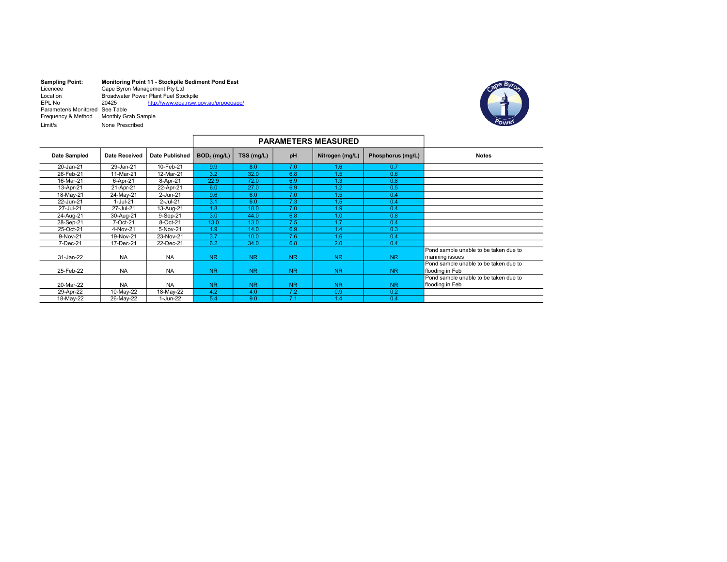| <b>Sampling Point:</b>          | Monitoring Point 11 - Stockpile Sediment Pond East |                                      |  |  |  |
|---------------------------------|----------------------------------------------------|--------------------------------------|--|--|--|
| Licencee                        | Cape Byron Management Pty Ltd                      |                                      |  |  |  |
| Location                        | Broadwater Power Plant Fuel Stockpile              |                                      |  |  |  |
| EPL No                          | 20425                                              | http://www.epa.nsw.gov.au/prpoeoapp/ |  |  |  |
| Parameter/s Monitored See Table |                                                    |                                      |  |  |  |
| Frequency & Method              | Monthly Grab Sample                                |                                      |  |  |  |
| $Lim$ it/s                      | None Prescribed                                    |                                      |  |  |  |



| <b>PARAMETERS MEASURED</b> |                      |                       |                  |            |           |                  |                   |                                                          |
|----------------------------|----------------------|-----------------------|------------------|------------|-----------|------------------|-------------------|----------------------------------------------------------|
| Date Sampled               | <b>Date Received</b> | <b>Date Published</b> | $BOD5$ (mg/L)    | TSS (mg/L) | pH        | Nitrogen (mg/L)  | Phosphorus (mg/L) | <b>Notes</b>                                             |
| 20-Jan-21                  | 29-Jan-21            | 10-Feb-21             | 9.9              | 8.0        | 7.0       | 1.6              | 0.7               |                                                          |
| 26-Feb-21                  | 11-Mar-21            | 12-Mar-21             | 3.2              | 32.0       | 6.8       | 1.5              | 0.6               |                                                          |
| 16-Mar-21                  | 6-Apr-21             | 8-Apr-21              | 22.9             | 72.0       | 6.9       | 1.3              | 0.8               |                                                          |
| 13-Apr-21                  | 21-Apr-21            | 22-Apr-21             | 6.0              | 27.0       | 6.9       | 1.2 <sub>2</sub> | 0.5               |                                                          |
| 18-May-21                  | 24-May-21            | 2-Jun-21              | 9.6              | 6.0        | 7.0       | 1.5              | 0.4               |                                                          |
| 22-Jun-21                  | $1-Jul-21$           | 2-Jul-21              | 3.1              | 6.0        | 7.3       | 1.5              | 0.4               |                                                          |
| 27-Jul-21                  | 27-Jul-21            | 13-Aug-21             | 1.8              | 18.0       | 7.0       | 1.9              | 0.4               |                                                          |
| 24-Aug-21                  | 30-Aug-21            | 9-Sep-21              | $\overline{3.0}$ | 44.0       | 6.8       | 1.0              | 0.8               |                                                          |
| 28-Sep-21                  | 7-Oct-21             | 8-Oct-21              | 13.0             | 13.0       | 7.5       | 1.7              | 0.4               |                                                          |
| 25-Oct-21                  | 4-Nov-21             | 5-Nov-21              | 1.9              | 14.0       | 6.9       | 1.4              | 0.3               |                                                          |
| 9-Nov-21                   | 19-Nov-21            | 23-Nov-21             | 3.7              | 10.0       | 7.6       | 1.6              | 0.4               |                                                          |
| 7-Dec-21                   | 17-Dec-21            | 22-Dec-21             | 6.2              | 34.0       | 6.8       | 2.0              | 0.4               |                                                          |
| 31-Jan-22                  | <b>NA</b>            | <b>NA</b>             | <b>NR</b>        | <b>NR</b>  | <b>NR</b> | N <sub>R</sub>   | <b>NR</b>         | Pond sample unable to be taken due to<br>manning issues  |
| 25-Feb-22                  | <b>NA</b>            | <b>NA</b>             | <b>NR</b>        | <b>NR</b>  | <b>NR</b> | N <sub>R</sub>   | <b>NR</b>         | Pond sample unable to be taken due to<br>flooding in Feb |
| 20-Mar-22                  | <b>NA</b>            | <b>NA</b>             | <b>NR</b>        | <b>NR</b>  | <b>NR</b> | <b>NR</b>        | <b>NR</b>         | Pond sample unable to be taken due to<br>flooding in Feb |
| 29-Apr-22                  | 10-May-22            | 18-May-22             | 4.2              | 4.0        | 7.2       | 0.9              | 0.2               |                                                          |
| 18-May-22                  | 26-May-22            | 1-Jun-22              | 5.4              | 9.0        | 7.1       | 1.4              | 0.4               |                                                          |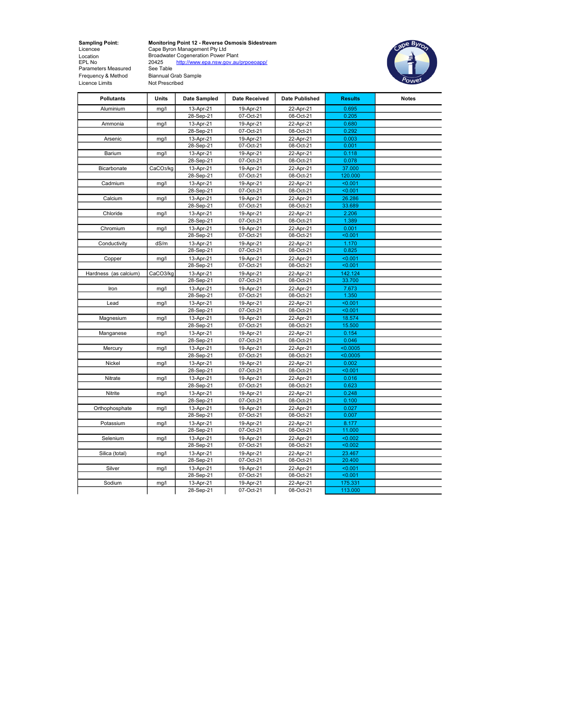Location<br>EPL No<br>Parameters Measured Frequency & Method Biannual Grab Sample Frammeries Measured See Table<br>
Frequency & Method Biannual Grab &<br>
Licence Limits Not Prescribed

Sampling Point: Monitoring Point 12 - Reverse Osmosis Sidestream Licencee Cape Byron Management Pty Ltd Location Broadwater Cogeneration Power Plant EPL No 20425 http://www.epa.nsw.gov.au/prpoeoapp/



| <b>Pollutants</b>     | Units                 | Date Sampled           | <b>Date Received</b> | <b>Date Published</b>  | <b>Results</b> | <b>Notes</b> |
|-----------------------|-----------------------|------------------------|----------------------|------------------------|----------------|--------------|
| Aluminium             | mg/l                  | 13-Apr-21              | 19-Apr-21            | 22-Apr-21              | 0.695          |              |
|                       |                       | 28-Sep-21              | 07-Oct-21            | 08-Oct-21              | 0.205          |              |
| Ammonia               | mg/l                  | 13-Apr-21              | 19-Apr-21            | 22-Apr-21              | 0.680          |              |
|                       |                       | 28-Sep-21              | 07-Oct-21            | 08-Oct-21              | 0.292          |              |
| Arsenic               | mg/l                  | 13-Apr-21              | 19-Apr-21            | 22-Apr-21              | 0.003          |              |
|                       |                       | 28-Sep-21              | 07-Oct-21            | 08-Oct-21              | 0.001          |              |
| Barium                | mg/l                  | 13-Apr-21              | 19-Apr-21            | 22-Apr-21              | 0.118          |              |
|                       |                       | 28-Sep-21              | 07-Oct-21            | 08-Oct-21              | 0.078          |              |
| Bicarbonate           | CaCO <sub>3</sub> /kg | 13-Apr-21              | 19-Apr-21            | 22-Apr-21              | 37.000         |              |
|                       |                       | 28-Sep-21              | 07-Oct-21            | 08-Oct-21              | 120.000        |              |
| Cadmium               | mg/l                  | 13-Apr-21              | 19-Apr-21            | 22-Apr-21              | < 0.001        |              |
|                       |                       | 28-Sep-21              | 07-Oct-21            | 08-Oct-21              | < 0.001        |              |
| Calcium               | mg/l                  | 13-Apr-21              | 19-Apr-21            | 22-Apr-21              | 26.286         |              |
|                       |                       | 28-Sep-21              | 07-Oct-21            | 08-Oct-21              | 33.689         |              |
| Chloride              | mg/l                  | 13-Apr-21              | 19-Apr-21            | 22-Apr-21              | 2.206          |              |
|                       |                       | 28-Sep-21              | 07-Oct-21            | 08-Oct-21              | 1.389          |              |
| Chromium              | mg/l                  | 13-Apr-21              | 19-Apr-21            | 22-Apr-21              | 0.001          |              |
|                       |                       | 28-Sep-21              | 07-Oct-21            | 08-Oct-21              | $0.001$        |              |
| Conductivity          | dS/m                  | 13-Apr-21              | 19-Apr-21            | 22-Apr-21              | 1.170          |              |
|                       |                       | 28-Sep-21              | 07-Oct-21            | 08-Oct-21              | 0.825          |              |
| Copper                | mg/l                  | 13-Apr-21              | 19-Apr-21            | 22-Apr-21              | < 0.001        |              |
|                       |                       | 28-Sep-21              | 07-Oct-21            | 08-Oct-21              | < 0.001        |              |
| Hardness (as calcium) | CaCO3/kg              | 13-Apr-21              | 19-Apr-21            | 22-Apr-21              | 142.124        |              |
|                       |                       | 28-Sep-21              | 07-Oct-21            | 08-Oct-21              | 33.700         |              |
| Iron                  | mg/l                  | 13-Apr-21              | 19-Apr-21            | 22-Apr-21              | 7.673          |              |
|                       |                       | 28-Sep-21              | 07-Oct-21            | 08-Oct-21              | 1.350          |              |
| Lead                  | mg/l                  | 13-Apr-21              | 19-Apr-21            | 22-Apr-21              | < 0.001        |              |
|                       |                       | 28-Sep-21              | 07-Oct-21            | 08-Oct-21              | < 0.001        |              |
| Magnesium             | mq/l                  | 13-Apr-21              | 19-Apr-21            | 22-Apr-21              | 18.574         |              |
|                       |                       | 28-Sep-21              | 07-Oct-21            | 08-Oct-21              | 15.500         |              |
| Manganese             | mg/l                  | 13-Apr-21              | 19-Apr-21            | 22-Apr-21              | 0.154          |              |
|                       |                       | 28-Sep-21              | 07-Oct-21            | 08-Oct-21              | 0.046          |              |
| Mercury               | mq/l                  | 13-Apr-21              | 19-Apr-21            | 22-Apr-21              | < 0.0005       |              |
|                       |                       | 28-Sep-21              | 07-Oct-21            | 08-Oct-21              | < 0.0005       |              |
| Nickel                | mg/l                  | 13-Apr-21              | 19-Apr-21            | 22-Apr-21              | 0.002          |              |
|                       |                       | 28-Sep-21              | 07-Oct-21            | 08-Oct-21              | < 0.001        |              |
| Nitrate               | mg/l                  | 13-Apr-21              | 19-Apr-21            | 22-Apr-21              | 0.016          |              |
|                       |                       | 28-Sep-21              | 07-Oct-21            | 08-Oct-21              | 0.623          |              |
| Nitrite               | mg/l                  | 13-Apr-21              | 19-Apr-21            | 22-Apr-21              | 0.248          |              |
|                       |                       | 28-Sep-21              | 07-Oct-21            | 08-Oct-21              | 0.100          |              |
| Orthophosphate        | mg/l                  | 13-Apr-21              | 19-Apr-21            | 22-Apr-21              | 0.027          |              |
|                       |                       | 28-Sep-21              | 07-Oct-21            | 08-Oct-21              | 0.007          |              |
| Potassium             | mg/l                  | 13-Apr-21              | 19-Apr-21            | 22-Apr-21              | 8.177          |              |
|                       |                       | 28-Sep-21              | 07-Oct-21            | 08-Oct-21              | 11.000         |              |
| Selenium              | mg/l                  | 13-Apr-21              | 19-Apr-21            | 22-Apr-21              | < 0.002        |              |
|                       |                       | 28-Sep-21              | 07-Oct-21            | 08-Oct-21              | < 0.002        |              |
| Silica (total)        | mg/l                  | 13-Apr-21              | 19-Apr-21            | 22-Apr-21              | 23.467         |              |
|                       |                       | 28-Sep-21              | 07-Oct-21            | 08-Oct-21              | 20.400         |              |
| Silver                | mg/l                  | 13-Apr-21              | 19-Apr-21            | 22-Apr-21              | < 0.001        |              |
|                       |                       | 28-Sep-21              | 07-Oct-21            | 08-Oct-21              | < 0.001        |              |
| Sodium                |                       |                        | 19-Apr-21            |                        | 175.331        |              |
|                       | mg/l                  | 13-Apr-21<br>28-Sep-21 | 07-Oct-21            | 22-Apr-21<br>08-Oct-21 | 113.000        |              |
|                       |                       |                        |                      |                        |                |              |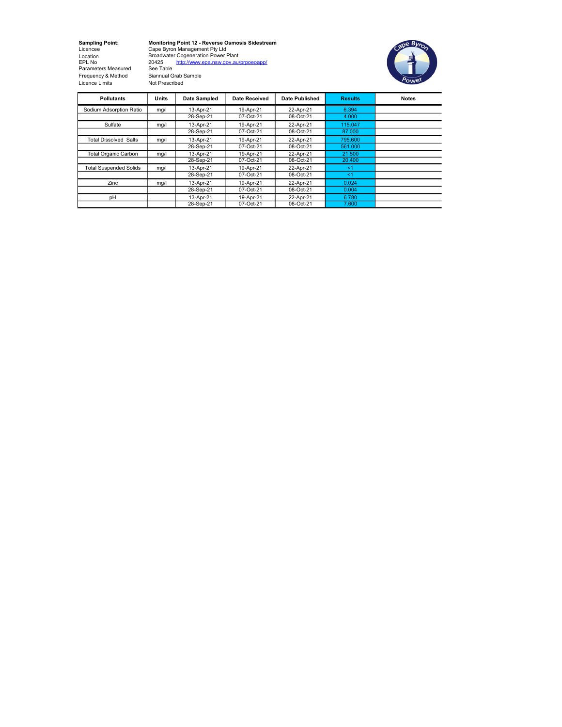Parameters Measured See Table Frequency & Method Biannual Grab Sample Licence Limits Not Prescribed

Sampling Point: Monitoring Point 12 - Reverse Osmosis Sidestream Licencee Cape Byron Management Pty Ltd Location Broadwater Cogeneration Power Plant EPL No 20425 http://www.epa.nsw.gov.au/prpoeoapp/



| <b>Pollutants</b>             | Units | <b>Date Sampled</b> | <b>Date Received</b> | Date Published | <b>Results</b> | <b>Notes</b> |
|-------------------------------|-------|---------------------|----------------------|----------------|----------------|--------------|
| Sodium Adsorption Ratio       | mq/   | 13-Apr-21           | 19-Apr-21            | 22-Apr-21      | 6.394          |              |
|                               |       | 28-Sep-21           | 07-Oct-21            | 08-Oct-21      | 4.000          |              |
| Sulfate                       | mq/   | 13-Apr-21           | 19-Apr-21            | 22-Apr-21      | 115.047        |              |
|                               |       | 28-Sep-21           | 07-Oct-21            | 08-Oct-21      | 87.000         |              |
| <b>Total Dissolved Salts</b>  | mg/l  | 13-Apr-21           | 19-Apr-21            | 22-Apr-21      | 795,600        |              |
|                               |       | 28-Sep-21           | 07-Oct-21            | 08-Oct-21      | 561.000        |              |
| <b>Total Organic Carbon</b>   | mq/   | 13-Apr-21           | 19-Apr-21            | 22-Apr-21      | 21.500         |              |
|                               |       | 28-Sep-21           | 07-Oct-21            | 08-Oct-21      | 20.400         |              |
| <b>Total Suspended Solids</b> | mq/1  | 13-Apr-21           | 19-Apr-21            | 22-Apr-21      | $<$ 1          |              |
|                               |       | 28-Sep-21           | 07-Oct-21            | 08-Oct-21      | <1             |              |
| Zinc                          | mq/l  | 13-Apr-21           | 19-Apr-21            | 22-Apr-21      | 0.024          |              |
|                               |       | 28-Sep-21           | 07-Oct-21            | 08-Oct-21      | 0.004          |              |
| pH                            |       | 13-Apr-21           | 19-Apr-21            | 22-Apr-21      | 6.780          |              |
|                               |       | 28-Sep-21           | 07-Oct-21            | 08-Oct-21      | 7.600          |              |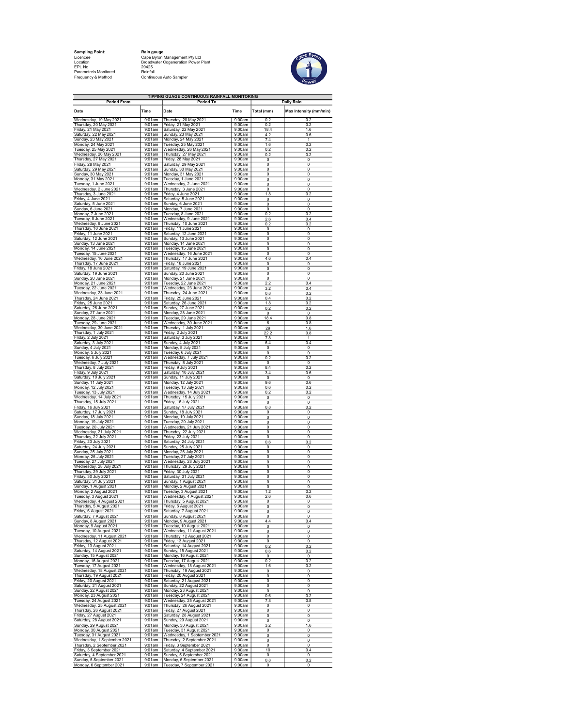Sampling Point: Rain gauge EPL No 20425 Parameter/s Monitored Rainfall

Licencee Cape Byron Management Pty Ltd Location Broadwater Cogeneration Power Plant Frequency & Method Continuous Auto Sampler



| <b>Period From</b>                                 |                     | TIPPING GUAGE CONTINUOUS RAINFALL MONITORING<br>Period To             |                  |                              | <b>Daily Rain</b>      |
|----------------------------------------------------|---------------------|-----------------------------------------------------------------------|------------------|------------------------------|------------------------|
| Date                                               | Time                | Date                                                                  | Time             | Total (mm)                   | Max Intensity (mm/min) |
| Wednesday, 19 May 2021                             | 9:01am              | Thursday, 20 May 2021                                                 | 9:00am           | 0.2                          | 0.2                    |
| Thursday, 20 May 2021                              | $9:01$ am           | Friday, 21 May 2021                                                   | 9:00am           | 0.2                          | 0.2                    |
| Friday, 21 May 2021                                | 9:01am              |                                                                       | 9:00am           | 18.4                         | 1.6                    |
| Saturday, 22 May 2021                              | 9:01am              | Saturday, 22 May 2021<br>Sunday, 23 May 2021                          | 9:00am           | 42                           | 0.6                    |
| Sunday, 23 May 2021                                | 9:01am              | Monday, 24 May 2021                                                   | 9:00am           | 7.4                          | $\overline{1}$         |
| Monday, 24 May 2021                                | 9:01am              | Tuesday, 25 May 2021                                                  | 9:00am           | 1.6                          | 0.2                    |
| Tuesday, 25 May 2021                               | 9:01am              | Wednesday, 26 May 2021                                                | 9:00am           | 0.2                          | 0.2                    |
|                                                    | 9:01am              | Thursday, 27 May 2021                                                 | 9:00am           | 0.2                          | 0.2                    |
| Wednesday, 26 May 2021<br>Thursday, 27 May 2021    | 9:01am              | Friday, 28 May 2021                                                   | 9:00am           | $\mathbf 0$                  | 0                      |
| Friday, 28 May 2021                                | 9:01am              | Saturday, 29 May 2021                                                 | 9:00am           | $\overline{0}$               | $\overline{0}$         |
| Saturday, 29 May 2021                              | 9:01am              | Sunday, 30 May 2021                                                   | 9:00am           | 0                            | 0                      |
| Sunday, 30 May 2021                                | 9:01am              | Monday, 31 May 2021                                                   | 9:00am           | $\Omega$                     | 0                      |
| Monday, 31 May 2021                                | 9:01am              | Tuesday, 1 June 2021                                                  | 9:00am           | 0                            | 0                      |
| Tuesday, 1 June 2021                               | 9:01am              | Wednesday, 2 June 2021                                                | 9:00am           | 0                            | 0                      |
| Wednesday, 2 June 2021                             | 9:01am              | Thursday, 3 June 2021                                                 | 9:00am           | $\overline{0}$               | $\overline{0}$         |
| Thursday, 3 June 2021                              | 9:01am              | Friday, 4 June 2021                                                   | 9:00am           | 1.8                          | 0.2                    |
| Friday, 4 June 2021                                | 9:01am              | Saturday, 5 June 2021                                                 | 9:00am           | 0                            | 0                      |
| Saturday, 5 June 2021                              | 9:01am              | Sunday, 6 June 2021                                                   | 9:00am           | $\overline{\mathbf{0}}$      | 0                      |
| Sunday, 6 June 2021                                | 9:01am              | Monday, 7 June 2021                                                   | 9:00am           | 0                            | 0                      |
| Monday, 7 June 2021                                | 9:01am              | Tuesday, 8 June 2021                                                  | 9:00am           | 0.2                          | 0.2                    |
| Tuesday, 8 June 2021                               | 9:01am              | Wednesday, 9 June 2021                                                | 9:00am           | 2.6                          | 0.4                    |
| Wednesday, 9 June 2021                             | 9:01am              | Thursday, 10 June 2021                                                | 9:00am           | 0.2                          | 0.2                    |
| Thursday, 10 June 2021                             | 9:01am              | Friday, 11 June 2021                                                  | 9:00am           | 0                            | 0                      |
| Friday, 11 June 2021                               | 9:01am              | Saturday, 12 June 2021                                                | 9:00am           | 0                            | 0                      |
| Saturday, 12 June 2021                             | 9:01am              | Sunday, 13 June 2021                                                  | 9:00am           | $\overline{0}$               | $\overline{0}$         |
| Sunday, 13 June 2021                               | 9:01am              | Monday, 14 June 2021                                                  | 9:00am<br>9:00am | 0                            | 0                      |
| Monday, 14 June 2021                               | 9:01am              | Tuesday, 15 June 2021                                                 | 9:00am           | 0                            | 0                      |
| Tuesday, 15 June 2021                              | 9:01am              | Wednesday, 16 June 2021                                               |                  | $\overline{\mathbf{0}}$      | 0                      |
| Wednesday, 16 June 2021                            | 9:01am              | Thursday, 17 June 2021                                                | 9:00am           | 4.6                          | 0.4                    |
| Thursday, 17 June 2021                             | 9:01am              | Friday, 18 June 2021                                                  | 9:00am           | $\overline{0}$               | $\overline{0}$         |
| Friday, 18 June 2021                               | 9:01am<br>9:01am    | Saturday, 19 June 2021                                                | 9:00am<br>9:00am | 0<br>$\Omega$                | 0                      |
| Saturday, 19 June 2021<br>Sunday, 20 June 2021     | 9:01am              | Sunday, 20 June 2021<br>Monday, 21 June 2021<br>Tuesday, 22 June 2021 | 9:00am           | $\overline{\mathfrak{o}}$    | 0<br>0                 |
| Monday, 21 June 2021                               | 9:01am              | Wednesday, 23 June 2021                                               | 9:00am           | 22                           | 0.4                    |
| Tuesday, 22 June 2021                              | 9:01am              |                                                                       | 9:00am           | 3.2                          | 0.4                    |
| Wednesday, 23 June 2021                            | 9:01am              | Thursday, 24 June 2021                                                | 9:00am           | 0.8                          | 0.2                    |
| Thursday, 24 June 2021                             | $9:01$ am           | Friday, 25 June 2021                                                  | 9:00am           | 0.4                          | 0.2                    |
| Friday, 25 June 2021                               | 9:01am              | Saturday, 26 June 2021<br>Sunday, 27 June 2021                        | 9:00am           | 1.8                          | 0.2                    |
| Saturday, 26 June 2021                             | 9:01am              | Monday, 28 June 2021                                                  | 9:00am           | 0.2                          | 0.2                    |
| Sunday, 27 June 2021                               | 9:01am              |                                                                       | 9:00am           | $\overline{0}$               | $\overline{0}$         |
| Monday, 28 June 2021                               | 9:01am              | Tuesday, 29 June 2021                                                 | 9:00am           | 18.4                         | 0.8                    |
| Tuesday, 29 June 2021                              | $9:01$ am           | Wednesday, 30 June 2021                                               | 9:00am           | 6                            | 0.8                    |
| Wednesday, 30 June 2021                            | 9:01am              | Thursday, 1 July 2021                                                 | 9:00am           | 29                           | 1.6                    |
| Thursday, 1 July 2021                              | 9:01am              | Friday, 2 July 2021                                                   | 9:00am           | 322                          | 0.8                    |
| Friday, 2 July 2021                                | 9:01am              | Saturday, 3 July 2021                                                 | 9:00am           | 7.8                          | $\overline{1}$         |
| Saturday, 3 July 2021                              | 9:01am              | Sunday, 4 July 2021                                                   | 9:00am           | 6.4                          | 0.4                    |
| Sunday, 4 July 2021                                | 9:01am              | Monday, 5 July 2021                                                   | 9:00am           | $\mathbf 0$                  | 0                      |
| Monday, 5 July 2021                                | 9:01am              | Tuesday, 6 July 2021                                                  | 9:00am           | $\overline{\mathfrak{o}}$    | 0                      |
| Tuesday, 6 July 2021                               | 9:01am              | Wednesday, 7 July 2021                                                | 9:00am           | 0.2                          | 0.2                    |
| Wednesday, 7 July 2021                             | 9:01am              | Thursday, 8 July 2021                                                 | 9:00am           | $\overline{0}$               | $\overline{0}$         |
| Thursday, 8 July 2021                              | 9:01am              | Friday, 9 July 2021                                                   | 9:00am           | 8.4                          | 0.2                    |
| Friday, 9 July 2021                                | 9:01am              | Saturday, 10 July 2021                                                | 9:00am           | $\overline{3.4}$             | 0.6                    |
| Saturday, 10 July 2021                             | 9:01am<br>9:01am    | Sunday, 11 July 2021                                                  | 9:00am<br>9:00am | 0                            | 0                      |
| Sunday, 11 July 2021<br>Monday, 12 July 2021       | 9:01am              | Monday, 12 July 2021<br>Tuesday, 13 July 2021                         | 9:00am           | 9.6<br>0.6                   | 0.6<br>0.2             |
| Tuesday, 13 July 2021                              | 9:01am              | Wednesday, 14 July 2021                                               | 9:00am           | $0.\overline{2}$             | 0.2                    |
| Wednesday, 14 July 2021                            | 9:01am              | Thursday, 15 July 2021                                                | 9:00am           | 0                            | 0                      |
| Thursday, 15 July 2021                             | 9:01am              | Friday, 16 July 2021                                                  | 9:00am           | $\overline{\mathbf{0}}$      | 0                      |
| Friday, 16 July 2021                               | 9:01am              | Saturday, 17 July 2021                                                | 9:00am           | 0.8                          | 0.2                    |
| Saturday, 17 July 2021                             | 9:01am              | Sunday, 18 July 2021                                                  | 9:00am           | $\overline{0}$               | $\overline{0}$         |
| Sunday, 18 July 2021                               | 9:01am              | Monday, 19 July 2021                                                  | 9:00am           | 0                            | 0                      |
| Monday, 19 July 2021                               | 9:01am              | Tuesday, 20 July 2021                                                 | 9:00am           | 0                            | 0                      |
| Tuesday, 20 July 2021                              | 9:01am              | Wednesday, 21 July 2021<br>Thursday, 22 July 2021                     | 9:00am           | $\overline{\mathbf{0}}$      | 0                      |
| Wednesday, 21 July 2021                            | 9:01am              |                                                                       | 9:00am           | 0                            | 0                      |
| Thursday, 22 July 2021                             | 9:01am<br>9:01am    | Friday, 23 July 2021                                                  | 9:00am<br>9:00am | $\overline{0}$<br>0.6        | $\overline{0}$         |
| Friday, 23 July 2021<br>Saturday, 24 July 2021     | 9:01am              | Saturday, 24 July 2021<br>Sunday, 25 July 2021                        | 9:00am           | 0                            | 0.2<br>0               |
| Sunday, 25 July 2021<br>Monday, 26 July 2021       | 9:01am<br>$9:01$ am | Monday, 26 July 2021<br>Tuesday, 27 July 2021                         | 9:00am<br>9:00am | $\overline{\mathbf{0}}$<br>0 | 0<br>0                 |
| Tuesday, 27 July 2021                              | 9:01am              | Wednesday, 28 July 2021                                               | 9:00am           | $\overline{0}$               | $\overline{0}$         |
| Wednesday, 28 July 2021                            | 9:01am              | Thursday, 29 July 2021                                                | 9:00am           | 0                            | 0                      |
| Thursday, 29 July 2021                             | $9:01$ am           | Friday, 30 July 2021                                                  | 9:00am           | 0                            | 0                      |
| Friday, 30 July 2021                               | 9:01am              | Saturday, 31 July 2021                                                | 9:00am           | $\overline{\mathbf{0}}$      | 0                      |
| Saturday, 31 July 2021                             | $9:01$ am           | Sunday, 1 August 2021                                                 | 9:00am           | 0                            | 0                      |
| Sunday, 1 August 2021                              | 9:01am              | Monday, 2 August 2021                                                 | 9:00am           | $\overline{0}$               | $\overline{0}$         |
| Monday, 2 August 2021                              | 9:01am              | Tuesday, 3 August 2021                                                | 9:00am           | 1.2                          | 0.2                    |
| Tuesday, 3 August 2021<br>Wednesday, 4 August 2021 | 9:01am              | Wednesday, 4 August 2021                                              | 9:00am           | 2.6                          | 0.6                    |
| hureday -                                          | 9:01am              | Thursday, 5 August 2021<br>lav                                        | 9:00am           | 0                            | 0                      |
| Friday, 6 August 2021                              | 9:01am              | Saturday, 7 August 2021                                               | 9:00am           | $\overline{0}$               | $\overline{0}$         |
| Saturday, 7 August 2021                            | 9:01am              | Sunday, 8 August 2021                                                 | 9:00am           | 0                            | 0                      |
| Sunday, 8 August 2021                              | 9:01am              | Monday, 9 August 2021                                                 | 9:00am           | 44                           | 0.4                    |
| Monday, 9 August 2021                              | 9:01am              | Tuesday, 10 August 2021                                               | 9:00am           | 0                            | 0                      |
| Tuesday, 10 August 2021                            | 9:01am              | Wednesday, 11 August 2021                                             | 9:00am           | 0                            | 0                      |
| Wednesday, 11 August 2021                          | 9:01am              | Thursday, 12 August 2021                                              | 9:00am           | 0                            | $\overline{0}$         |
| Thursday, 12 August 2021                           | 9:01am              | Friday, 13 August 2021                                                | 9:00am           | 0                            | 0                      |
| Friday, 13 August 2021                             | 9:01am              | Saturday, 14 August 2021                                              | 9:00am           | 0.2                          | 0.2                    |
| Saturday, 14 August 2021                           | 9:01am              | Sunday, 15 August 2021                                                | 9:00am           | 0.6                          | 0.2                    |
| Sunday, 15 August 2021                             | 9:01am              | Monday, 16 August 2021                                                | 9:00am           | $\mathbf 0$                  | 0                      |
| Monday, 16 August 2021                             | 9:01am              | Tuesday, 17 August 2021                                               | 9:00am           | 0.2                          | 0.2                    |
| Tuesday, 17 August 2021                            | 9:01am              | Wednesday, 18 August 2021                                             | 9:00am           | 1.6                          | 0.2                    |
| Wednesday, 18 August 2021                          | 9:01am              | Thursday, 19 August 2021                                              | 9:00am           | 0                            | 0                      |
| Thursday, 19 August 2021                           | 9:01am              | Friday, 20 August 2021                                                | 9:00am           | 0                            | 0                      |
| Friday, 20 August 2021                             | 9:01am<br>9:01am    | Saturday, 21 August 2021                                              | 9:00am<br>9:00am | 0<br>0                       | 0<br>$\overline{0}$    |
| Saturday, 21 August 2021<br>Sunday, 22 August 2021 | 9:01am              | Sunday, 22 August 2021<br>Monday, 23 August 2021                      | 9:00am           | 0                            | 0                      |
| Monday, 23 August 2021                             | 9:01am              | Tuesday, 24 August 2021                                               | 9:00am           | 0.6                          | 0.2                    |
| Tuesday, 24 August 2021                            | 9:01am              | Wednesday, 25 August 2021                                             | 9:00am           | 7.8                          | 0.8                    |
| Wednesday, 25 August 2021                          | $9:01$ am           | Thursday, 26 August 2021                                              | 9:00am           | 0                            | 0                      |
| Thursday, 26 August 2021                           | 9:01am              | Friday, 27 August 2021                                                | 9:00am           | $\overline{0}$               | $\overline{0}$         |
| Friday, 27 August 2021                             | 9:01am              | Saturday, 28 August 2021                                              | 9:00am           | 0                            | 0                      |
| Saturday, 28 August 2021                           | 9:01am              | Sunday, 29 August 2021                                                | 9:00am           | o                            | <sup>0</sup>           |
| Sunday, 29 August 2021                             | 9:01am              | Monday, 30 August 2021                                                | 9:00am           | 3.2                          | 1.6                    |
| Monday, 30 August 2021                             | 9:01am              | Tuesday, 31 August 2021                                               | 9:00am           | 0                            | 0                      |
| Tuesday, 31 August 2021                            | 9:01am              | Wednesday, 1 September 2021                                           | 9:00am           | 0                            | $\overline{0}$         |
| Wednesday, 1 September 2021                        | 9:01am              | Thursday, 2 September 2021                                            | 9:00am           | 0                            | 0                      |
| Thursday, 2 September 2021                         | 9:01am              | Friday, 3 September 2021                                              | 9:00am           | 0                            | 0                      |
| Friday, 3 September 2021                           | 9:01am              | Saturday, 4 September 2021                                            | 9:00am           | 10                           | 0.4                    |
| Saturday, 4 September 2021                         | $9:01$ am           | Sunday, 5 September 2021                                              | 9:00am           | 0                            | $\mathbf 0$            |
| Sunday, 5 September 2021                           | 9:01am              | Monday, 6 September 2021                                              | 9:00am           | 0.8                          | 0.2                    |
| Monday, 6 September 2021                           | 9:01am              | Tuesday, 7 September 2021                                             | 9:00am           | 0                            | 0                      |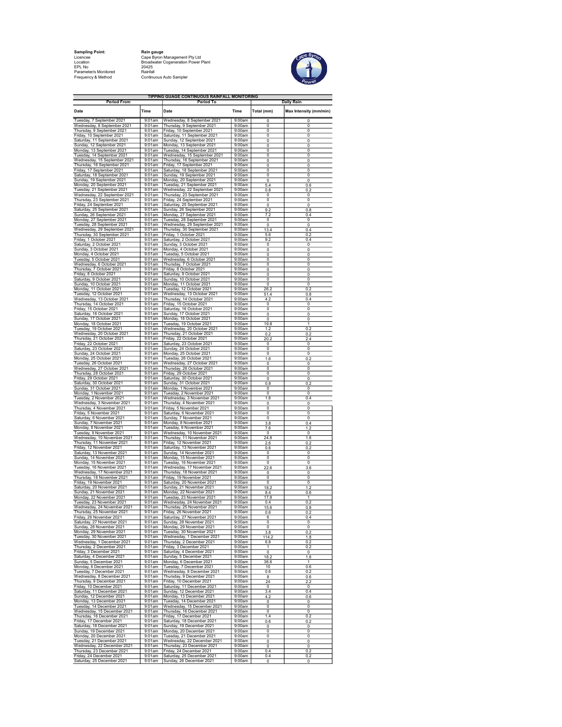| <b>Sampling Point:</b> | Rain ga  |
|------------------------|----------|
| Licencee               | Cape B   |
| Location               | Broadw   |
| FPI No                 | 20425    |
| Parameter/s Monitored  | Rainfall |
| Francisco (O Mathers   | $C = 1$  |

Sam**pling Point:** Rain gauge<br>Licencee Cape Cape Byron Management Pty Ltd<br>Location Broadwater Cogeneration Power Plant Frequency & Method Continuous Auto Sampler



| <b>Period From</b>                                                           |                        | TIPPING GUAGE CONTINUOUS RAINFALL MONITORING<br><b>Period To</b> |                  |                                | <b>Daily Rain</b>      |
|------------------------------------------------------------------------------|------------------------|------------------------------------------------------------------|------------------|--------------------------------|------------------------|
| Date                                                                         | Time                   | Date                                                             | Time             | Total (mm)                     | Max Intensity (mm/min) |
| Tuesday, 7 September 2021                                                    | 9:01am                 |                                                                  | 9:00am           | 0                              | 0                      |
| Wednesday, 8 September 2021                                                  | 9:01am                 | Wednesday, 8 September 2021<br>Thursday, 9 September 2021        | 9:00am           | 0                              | 0                      |
| Thursday, 9 September 2021<br>Friday, 10 September 2021                      | 9:01am<br>9:01am       | Friday, 10 September 2021<br>Saturday, 11 September 2021         | 9:00am<br>9:00am | 0<br>$\overline{\mathfrak{o}}$ | 0<br>$\overline{0}$    |
| Saturday, 11 September 2021                                                  | $9:01$ am              | Sunday, 12 September 2021                                        | 9:00am           | 0                              | 0                      |
| Sunday, 12 September 2021<br>Monday, 13 September 2021                       | 9:01am<br>9:01am       | Monday, 13 September 2021<br>Tuesday, 14 September 2021          | 9:00am<br>9:00am | 0<br>0                         | 0<br>$\mathbf 0$       |
| Tuesday, 14 September 2021                                                   | 9:01am                 | Wednesday, 15 September 2021                                     | 9:00am           | 0                              | 0                      |
| Wednesday, 15 September 2021<br>Thursday, 16 September 2021                  | $9:01$ am              | Thursday, 16 September 2021<br>Friday, 17 September 2021         | 9:00am           | 0                              | 0                      |
| Friday, 17 September 2021                                                    | 9:01am<br>9:01am       | Saturday, 18 September 2021                                      | 9:00am<br>9:00am | 0<br>0                         | 0<br>0                 |
| Saturday, 18 September 2021                                                  | 9:01am                 | Sunday, 19 September 2021                                        | 9:00am           | 0                              | 0                      |
| Sunday, 19 September 2021<br>Monday, 20 September 2021                       | 9:01am<br>9:01am       | Monday, 20 September 2021<br>Tuesday, 21 September 2021          | 9:00am<br>9:00am | 0<br>5.4                       | 0<br>0.6               |
| Tuesday, 21 September 2021                                                   | 9:01am                 | Wednesday, 22 September 2021                                     | 9:00am           | 0.8                            | 0.2                    |
| Wednesday, 22 September 2021<br>Thursday, 23 September 2021                  | 9:01am<br>9:01am       | Thursday, 23 September 2021<br>Friday, 24 September 2021         | 9:00am<br>9:00am | 0<br>$\overline{0}$            | 0<br>0                 |
| Friday, 24 September 2021                                                    | 9:01am                 | Saturday, 25 September 2021                                      | 9:00am           | 0                              | 0                      |
| Saturday, 25 September 2021<br>Sunday, 26 September 2021                     | $9:01$ am<br>9:01am    | Sunday, 26 September 2021<br>Monday, 27 September 2021           | 9:00am<br>9:00am | 9.2<br>7.2                     | 0.8<br>0.4             |
| Monday, 27 September 2021                                                    | 9:01am                 | Tuesday, 28 September 2021                                       | 9:00am           | 0                              | 0                      |
| Tuesday, 28 September 2021<br>Wednesday, 29 September 2021                   | 9:01am<br>9:01am       | Wednesday, 29 September 2021<br>Thursday, 30 September 2021      | 9:00am<br>9:00am | 0<br>13.4                      | 0<br>0.4               |
| Thursday, 30 September 2021                                                  | $9:01$ am              | Friday, 1 October 2021                                           | 9:00am           | 5.6                            | 0.2                    |
| Friday, 1 October 2021                                                       | 9:01am                 | Saturday, 2 October 2021                                         | 9:00am           | 9.2                            | 0.4                    |
| Saturday, 2 October 2021<br>Sunday, 3 October 2021                           | 9:01am<br>9:01am       | Sunday, 3 October 2021<br>Monday, 4 October 2021                 | 9:00am<br>9:00am | 0<br>0                         | 0<br>0                 |
| Monday, 4 October 2021                                                       | 9:01am                 | Tuesday, 5 October 2021                                          | 9:00am           | 0                              | 0                      |
| Tuesday, 5 October 2021<br>Wednesday, 6 October 2021                         | $9:01$ am<br>$9:01$ am | Wednesday, 6 October 2021<br>Thursday, 7 October 2021            | 9:00am<br>9:00am | o<br>0                         | 0<br>0                 |
| Thursday, 7 October 2021                                                     | 9:01am                 | Friday, 8 October 2021                                           | 9:00am           | 0                              | 0                      |
| Friday, 8 October 2021                                                       | 9:01am<br>9:01am       | Saturday, 9 October 2021<br>Sunday, 10 October 2021              | 9:00am<br>9:00am | 0<br>0                         | 0<br>0                 |
| Saturday, 9 October 2021<br>Sunday, 10 October 2021                          | 9:01am                 | Monday, 11 October 2021                                          | 9:00am           | $\overline{\mathfrak{o}}$      | $\overline{0}$         |
| Monday, 11 October 2021                                                      | 9:01am                 | Tuesday, 12 October 2021                                         | 9:00am           | 26.2                           | 0.2                    |
| Tuesday, 12 October 2021<br>Wednesday, 13 October 2021                       | 9:01am<br>9:01am       | Wednesday, 13 October 2021<br>Thursday, 14 October 2021          | 9:00am<br>9:00am | 51.4<br>4.2                    | 0.8<br>0.4             |
| Thursday, 14 October 2021                                                    | 9:01am                 | Friday, 15 October 2021                                          | 9:00am           | 0                              | 0                      |
| Friday, 15 October 2021<br>Saturday, 16 October 2021                         | $9:01$ am<br>9:01am    | Saturday, 16 October 2021<br>Sunday, 17 October 2021             | 9:00am<br>9:00am | $\overline{\mathfrak{o}}$<br>0 | $\overline{0}$<br>0    |
| Sunday, 17 October 2021                                                      | 9:01am                 | Monday, 18 October 2021                                          | 9:00am           | 0                              | 0                      |
| Monday, 18 October 2021                                                      | 9:01am                 | Tuesday, 19 October 2021                                         | 9:00am<br>9:00am | 19.8                           | 1                      |
| Tuesday, 19 October 2021<br>Wednesday, 20 October 2021                       | 9:01am<br>9:01am       | Wednesday, 20 October 2021<br>Thursday, 21 October 2021          | 9:00am           | 1.2<br>0.2                     | 0.2<br>0.2             |
| Thursday, 21 October 2021                                                    | 9:01am                 | Friday, 22 October 2021                                          | 9:00am           | 20.2                           | 2.4                    |
| Friday, 22 October 2021<br>Saturday, 23 October 2021                         | 9:01am<br>9:01am       | Saturday, 23 October 2021<br>Sunday, 24 October 2021             | 9:00am<br>9:00am | 0<br>0                         | 0<br>0                 |
| Sunday, 24 October 2021                                                      | 9:01am                 | Monday, 25 October 2021                                          | 9:00am           | 0                              | 0                      |
| Monday, 25 October 2021<br>Tuesday, 26 October 2021                          | $9:01$ am<br>$9:01$ am | Tuesday, 26 October 2021                                         | 9:00am<br>9:00am | 1.6                            | 0.2                    |
| Wednesday, 27 October 2021                                                   | 9:01am                 | Wednesday, 27 October 2021<br>Thursday, 28 October 2021          | 9:00am           | 0<br>0                         | 0<br>0                 |
| Thursday, 28 October 2021                                                    | 9:01am                 | Friday, 29 October 2021                                          | 9:00am           | 0                              | 0                      |
| Friday, 29 October 2021<br>Saturday, 30 October 2021                         | 9:01am<br>9:01am       | Saturday, 30 October 2021<br>Sunday, 31 October 2021             | 9:00am<br>9:00am | 0<br>0.8                       | 0<br>0.2               |
| Sunday, 31 October 2021                                                      | 9:01am                 | Monday, 1 November 2021                                          | 9:00am           | 0                              | 0                      |
| Monday, 1 November 2021<br>Tuesday, 2 November 2021                          | 9:01am<br>9:01am       | Tuesday, 2 November 2021<br>Wednesday, 3 November 2021           | 9:00am<br>9:00am | 0<br>1.6                       | 0<br>0.4               |
| Wednesday, 3 November 2021                                                   | 9:01am                 | Thursday, 4 November 2021                                        | 9:00am           | 0                              | 0                      |
| Thursday, 4 November 2021<br>Friday, 5 November 2021                         | $9:01$ am              | Friday, 5 November 2021<br>Saturday, 6 November 2021             | 9:00am           | $\overline{\mathfrak{o}}$      | $\overline{0}$         |
| Saturday, 6 November 2021                                                    | $9:01$ am<br>9:01am    | Sunday, 7 November 2021                                          | 9:00am<br>9:00am | 0<br>0                         | 0<br>0                 |
| Sunday, 7 November 2021                                                      | 9:01am                 | Monday, 8 November 2021                                          | 9:00am           | 3.8                            | 0.4                    |
| Monday, 8 November 2021<br>Tuesday, 9 November 2021                          | 9:01am<br>9:01am       | Tuesday, 9 November 2021<br>Wednesday, 10 November 2021          | 9:00am<br>9:00am | 7.6<br>0                       | 1.2<br>$\overline{0}$  |
| Wednesday, 10 November 2021                                                  | $9:01$ am              | Thursday, 11 November 2021                                       | 9:00am           | 24.8                           | 1.6                    |
| Thursday, 11 November 2021<br>Friday, 12 November 2021                       | 9:01am<br>9:01am       | Friday, 12 November 2021<br>Saturday, 13 November 2021           | 9:00am<br>9:00am | 2.6<br>0.6                     | 0.2<br>0.2             |
| Saturday, 13 November 2021                                                   | 9:01am                 | Sunday, 14 November 2021                                         | 9:00am           | 0                              | 0                      |
| Sunday, 14 November 2021<br>Monday, 15 November 2021                         | $9:01$ am<br>$9:01$ am | Monday, 15 November 2021<br>Tuesday, 16 November 2021            | 9:00am<br>9:00am | 0<br>0                         | $\overline{0}$<br>0    |
| Tuesday, 16 November 2021                                                    | 9:01am                 | Wednesday, 17 November 2021                                      | 9:00am           | 22.6                           | 3.6                    |
| Wednesday, 17 November 2021                                                  | 9:01am                 | Thursday, 18 November 2021                                       | 9:00am<br>9:00am | 0                              | $\mathbf 0$            |
| Thursday, 18 November 2021<br>Friday, 19 November 2021                       | 9:01am<br>9:01am       | Friday, 19 November 2021<br>Saturday, 20 November 2021           | 9:00am           | 0<br>$\overline{\mathfrak{o}}$ | 0<br>$\overline{0}$    |
| Saturday, 20 November 2021                                                   | $9:01$ am              | Sunday, 21 November 2021                                         | 9:00am           | 18.2                           | 12                     |
| Sunday, 21 November 2021<br>Monday, 22 November 2021                         | 9:01am<br>9:01am       | Monday, 22 November 2021<br>Tuesday, 23 November 2021            | 9:00am<br>9:00am | 8.4<br>17.8                    | 0.6<br>1               |
| Tuesday, 23 November 2021                                                    | 9:01am                 | Wednesday, 24 November 2021                                      | 9:00am           | 0.4                            | 0.2                    |
| lav.<br>Thursday, 25 November 2021                                           | 9:01am                 | November<br>Friday, 26 November 2021                             | 9:00am           | 0.6                            | 0.2                    |
| Friday, 26 November 2021                                                     | 9:01am                 | Saturday, 27 November 2021                                       | 9:00am           | 6                              | 0.4                    |
| Saturday, 27 November 2021<br>Sunday, 28 November 2021                       | 9:01am<br>9:01am       | Sunday, 28 November 2021<br>Monday, 29 November 2021             | 9:00am<br>9:00am | 0<br>0                         | $\mathbf 0$<br>0       |
| Monday, 29 November 2021                                                     | 9:01am                 | Tuesday, 30 November 2021                                        | 9:00am           | 3.8                            | 0.2                    |
| Tuesday, 30 November 2021<br>Wednesday, 1 December 2021                      | $9:01$ am              | Wednesday, 1 December 2021<br>Thursday, 2 December 2021          | 9:00am<br>9:00am | 114.2                          | 1.8                    |
| Thursday, 2 December 2021                                                    | 9:01am<br>9:01am       | Friday, 3 December 2021                                          | 9:00am           | 6.8<br>1                       | 0.2<br>0.2             |
| Friday, 3 December 2021                                                      | 9:01am                 | Saturday, 4 December 2021                                        | 9:00am           | 0                              | 0                      |
| Saturday, 4 December 2021<br>Saluruay, 1998-19921<br>Sunday, 5 December 2021 | $9:01$ am<br>$9:01$ am | Sunday, 5 December 2021<br>Monday, 6 December 2021               | 9:00am<br>9:00am | 18.2<br>36.6                   | 1.6<br>1               |
| Monday, 6 December 2021                                                      | 9:01am                 | Tuesday, 7 December 2021                                         | 9:00am           | 10                             | 0.6                    |
| Tuesday, 7 December 2021<br>Wednesday, 8 December 2021                       | 9:01am<br>9:01am       | Wednesday, 8 December 2021<br>Thursday, 9 December 2021          | 9:00am<br>9:00am | 0.6<br>8                       | 0.2<br>0.6             |
| Thursday, 9 December 2021                                                    | $9:01$ am              | Friday, 10 December 2021                                         | 9:00am           | $\overline{24}$                | 2.2                    |
| Friday, 10 December 2021<br>Saturday, 11 December 2021                       | $9:01$ am<br>9:01am    | Saturday, 11 December 2021<br>Sunday, 12 December 2021           | 9:00am<br>9:00am | 0<br>3.4                       | 0<br>0.4               |
| Sunday, 12 December 2021                                                     | $9:01$ am              | Monday, 13 December 2021                                         | 9:00am           | 4.2                            | 0.6                    |
| Monday, 13 December 2021                                                     | 9:01am                 | Tuesday, 14 December 2021                                        | 9:00am           | 0                              | 0                      |
| Tuesday, 14 December 2021<br>Wednesday, 15 December 2021                     | $9:01$ am<br>9:01am    | Wednesday, 15 December 2021<br>Thursday, 16 December 2021        | 9:00am<br>9:00am | o<br>0                         | $\overline{0}$<br>0    |
| Thursday, 16 December 2021                                                   | 9:01am                 | Friday, 17 December 2021                                         | 9:00am           | 1.4                            | 0.2                    |
| Friday, 17 December 2021<br>Saturday, 18 December 2021                       | $9:01$ am<br>9:01am    | Saturday, 18 December 2021<br>Sunday, 19 December 2021           | 9:00am<br>9:00am | 0.6<br>0                       | 0.2<br>0               |
| Sunday, 19 December 2021                                                     | 9:01am                 | Monday, 20 December 2021                                         | 9:00am           | o                              | $\overline{0}$         |
| Monday, 20 December 2021<br>Tuesday, 21 December 2021                        | $9:01$ am<br>9:01am    | Tuesday, 21 December 2021<br>Wednesday, 22 December 2021         | 9:00am<br>9:00am | 0<br>0                         | 0<br>0                 |
| Wednesday, 22 December 2021                                                  | 9:01am                 | Thursday, 23 December 2021                                       | 9:00am           | 0                              | 0                      |
| Thursday, 23 December 2021<br>Friday, 24 December 2021                       | 9:01am<br>$9:01$ am    | Friday, 24 December 2021<br>Saturday, 25 December 2021           | 9:00am<br>9:00am | 0.4<br>0.4                     | 0.2<br>0.2             |
| Saturday, 25 December 2021                                                   | 9:01am                 | Sunday, 26 December 2021                                         | 9:00am           | 0                              | 0                      |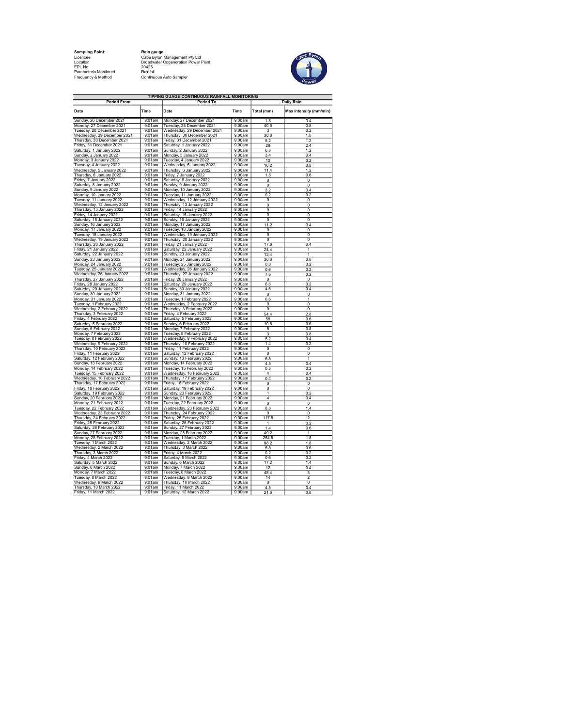| <b>Sampling Point:</b> | Rain ga  |
|------------------------|----------|
| Licencee               | Cape B   |
| Location               | Broadw   |
| FPI No                 | 20425    |
| Parameter/s Monitored  | Rainfall |
| Francisco (O Mathers   | $C = 1$  |

Sam**pling Point:** Rain gauge<br>Licencee Cape Cape Byron Management Pty Ltd<br>Location Broadwater Cogeneration Power Plant Frequency & Method Continuous Auto Sampler



| TIPPING GUAGE CONTINUOUS RAINFALL MONITORING<br><b>Period From</b><br><b>Period To</b><br><b>Daily Rain</b> |                     |                                                                                    |                  |                                  |                                  |  |  |
|-------------------------------------------------------------------------------------------------------------|---------------------|------------------------------------------------------------------------------------|------------------|----------------------------------|----------------------------------|--|--|
| Date                                                                                                        | Time                | Date                                                                               | Time             | Total (mm)                       | Max Intensity (mm/min)           |  |  |
| Sunday, 26 December 2021                                                                                    | $9:01$ am           | Monday, 27 December 2021                                                           | 9:00am           | 1.8                              | 0.4                              |  |  |
| Monday, 27 December 2021                                                                                    | 9:01am<br>9:01am    | Tuesday, 28 December 2021                                                          | 9:00am<br>9:00am | 40.6                             | 0.8                              |  |  |
| Tuesday, 28 December 2021<br>Wednesday, 29 December 2021                                                    | 9:01am              | Wednesday, 29 December 2021<br>Thursday, 30 December 2021                          | 9:00am           | 3<br>30.8                        | 0.2<br>1.8                       |  |  |
| Thursday, 30 December 2021                                                                                  | 9:01am              | Friday, 31 December 2021                                                           | 9:00am           | 5.2                              | 1.2                              |  |  |
| Friday, 31 December 2021                                                                                    | 9:01am              | Saturday, 1 January 2022<br>Sunday, 2 January 2022                                 | 9:00am           | 29                               | 2.4                              |  |  |
| Saturday, 1 January 2022                                                                                    | $9:01$ am           |                                                                                    | 9:00am           | 6.8                              | 1.2                              |  |  |
| Sunday, 2 January 2022                                                                                      | $9:01$ am<br>9:01am | Monday, 3 January 2022                                                             | 9:00am<br>9:00am | 3.4                              | 04                               |  |  |
| Monday, 3 January 2022<br>Tuesday, 4 January 2022                                                           | 9:01am              | Tuesday, 4 January 2022<br>Wednesday, 5 January 2022                               | 9:00am           | 10<br>10.2                       | 0.2<br>0.8                       |  |  |
| Wednesday, 5 January 2022                                                                                   | 9:01am              | Thursday, 6 January 2022                                                           | 9:00am           | 11.4                             | 1.2                              |  |  |
| Thursday, 6 January 2022                                                                                    | 9:01am              | Friday, 7 January 2022                                                             | 9:00am           | 1.8                              | 0.6                              |  |  |
| Friday, 7 January 2022                                                                                      | 9:01am              | Saturday, 8 January 2022                                                           | 9:00am           | 0                                | $\overline{0}$                   |  |  |
| Saturday, 8 January 2022                                                                                    | $9:01$ am           | Sunday, 9 January 2022                                                             | 9:00am           | 0                                | 0                                |  |  |
| Sunday, 9 January 2022                                                                                      | 9:01am<br>9:01am    | Monday, 10 January 2022                                                            | 9:00am<br>9:00am | 3.2<br>0.2                       | 0.4<br>0.2                       |  |  |
| Monday, 10 January 2022<br>Tuesday, 11 January 2022                                                         | 9:01am              | Tuesday, 11 January 2022<br>Wednesday, 12 January 2022                             | 9:00am           | 0                                | 0                                |  |  |
| Wednesday, 12 January 2022                                                                                  | 9:01am              | Thursday, 13 January 2022                                                          | 9:00am           | 0                                | 0                                |  |  |
| Thursday, 13 January 2022                                                                                   | 9:01am              | Friday, 14 January 2022                                                            | 9:00am           | $\overline{\mathfrak{o}}$        | $\overline{\mathfrak{o}}$        |  |  |
| Friday, 14 January 2022                                                                                     | 9:01am              | Saturday, 15 January 2022                                                          | 9:00am           | 0                                | 0                                |  |  |
| Saturday, 15 January 2022                                                                                   | 9:01am              | Sunday, 16 January 2022                                                            | 9:00am           | $\overline{0}$                   | $\overline{0}$                   |  |  |
| Sunday, 16 January 2022                                                                                     | $9:01$ am           | Monday, 17 January 2022                                                            | 9:00am           | 11.2                             | 0.4                              |  |  |
| Monday, 17 January 2022<br>Tuesday, 18 January 2022                                                         | 9:01am<br>9:01am    | Tuesday, 18 January 2022<br>Wednesday, 19 January 2022                             | 9:00am<br>9:00am | $\overline{0}$<br>O              | $\overline{0}$<br>$\overline{0}$ |  |  |
| Wednesday, 19 January 2022                                                                                  | 9:01am              | Thursday, 20 January 2022                                                          | 9:00am           | 0                                | 0                                |  |  |
| Thursday, 20 January 2022                                                                                   | 9:01am              | Friday, 21 January 2022                                                            | 9:00am           | 17.8                             | 04                               |  |  |
| Friday, 21 January 2022                                                                                     | 9:01am              |                                                                                    | 9:00am           | 24.4                             | 1                                |  |  |
| Saturday, 22 January 2022                                                                                   | 9:01am              | Saturday, 22 January 2022<br>Sunday, 23 January 2022<br>Monday, 24 January 2022    | 9:00am           | 13.4                             | 1                                |  |  |
| Sunday, 23 January 2022                                                                                     | 9:01am              |                                                                                    | 9:00am           | 30.8                             | 0.8                              |  |  |
| Monday, 24 January 2022                                                                                     | 9:01am              | Tuesday, 25 January 2022                                                           | 9:00am           | 0.8                              | 0.2                              |  |  |
| Tuesday, 25 January 2022<br>Wednesday, 26 January 2022                                                      | 9:01am<br>9:01am    | Wednesday, 26 January 2022<br>Thursday, 27 January 2022                            | 9:00am<br>9:00am | 0.6<br>7.6                       | 0.2<br>0.2                       |  |  |
| Thursday, 27 January 2022                                                                                   | $9:01$ am           | Friday, 28 January 2022                                                            | 9:00am           | $\Omega$                         | $\Omega$                         |  |  |
| Friday, 28 January 2022                                                                                     | 9:01am              | Saturday, 29 January 2022                                                          | 9:00am           | 6.6                              | 0.2                              |  |  |
| Saturday, 29 January 2022                                                                                   | 9:01am              | Sunday, 30 January 2022                                                            | 9:00am           | 4.6                              | 0.4                              |  |  |
| Sunday, 30 January 2022                                                                                     | 9:01am              | Monday, 31 January 2022                                                            | 9:00am           | $\overline{\mathbf{0}}$          | $\overline{0}$                   |  |  |
| Monday, 31 January 2022                                                                                     | $9:01$ am           | Tuesday, 1 February 2022                                                           | 9:00am           | 6.6                              | 1                                |  |  |
| Tuesday, 1 February 2022<br>Wednesday, 2 February 2022                                                      | 9:01am<br>9:01am    | Wednesday, 2 February 2022<br>Thursday, 3 February 2022                            | 9:00am<br>9:00am | 0<br>0                           | $\overline{0}$<br>$\Omega$       |  |  |
| Thursday, 3 February 2022                                                                                   | 9:01am              | Friday, 4 February 2022                                                            | 9:00am           | 54.4                             | $\frac{2.8}{2.8}$                |  |  |
| Friday, 4 February 2022                                                                                     | $9:01$ am           | Saturday, 5 February 2022                                                          | 9:00am           | 58                               | 0.6                              |  |  |
| Saturday, 5 February 2022                                                                                   | 9:01am              | Sunday, 6 February 2022                                                            | 9:00am           | 10.6                             | 0.6                              |  |  |
| Sunday, 6 February 2022                                                                                     | 9:01am              | Monday, 7 February 2022                                                            | 9:00am           | 5                                | 0.8                              |  |  |
| Monday, 7 February 2022                                                                                     | 9:01am              | Tuesday, 8 February 2022                                                           | 9:00am           | $\overline{\overline{3}}$        | 0.8                              |  |  |
| Tuesday, 8 February 2022<br>Wednesday, 9 February 2022                                                      | 9:01am<br>9:01am    | Wednesday, 9 February 2022<br>Thursday, 10 February 2022                           | 9:00am<br>9:00am | 5.2<br>1.4                       | 0.4<br>0.2                       |  |  |
| Thursday, 10 February 2022                                                                                  | 9:01am              | Friday, 11 February 2022                                                           | 9:00am           | $\pmb{0}$                        | $\pmb{0}$                        |  |  |
| Friday, 11 February 2022                                                                                    | 9:01am              | Saturday, 12 February 2022                                                         | 9:00am           | $\overline{0}$                   | $\overline{0}$                   |  |  |
| Saturday, 12 February 2022                                                                                  | 9:01am              | Sunday, 13 February 2022                                                           | 9:00am           | 6.8                              | $\overline{1}$                   |  |  |
| Sunday, 13 February 2022                                                                                    | 9:01am              | Monday, 14 February 2022                                                           | 9:00am           | 4.8                              | 0.4                              |  |  |
| Monday, 14 February 2022                                                                                    | 9:01am              | Tuesday, 15 February 2022                                                          | 9:00am           | 0.8                              | 0.2                              |  |  |
| Tuesday, 15 February 2022<br>Wednesday, 16 February 2022                                                    | 9:01am<br>9:01am    | Wednesday, 16 February 2022<br>Thursday, 17 February 2022                          | 9:00am<br>9:00am | $\overline{4}$<br>0.4            | 0.4<br>0.2                       |  |  |
| Thursday, 17 February 2022                                                                                  | 9:01am              | Friday, 18 February 2022                                                           | 9:00am           | 0                                | $\mathbf 0$                      |  |  |
| Friday, 18 February 2022                                                                                    | 9:01am              | Saturday, 19 February 2022                                                         | 9:00am           | 0                                | $\overline{0}$                   |  |  |
| Saturday, 19 February 2022                                                                                  | 9:01am              | Sunday, 20 February 2022                                                           | 9:00am           | 1                                | 0.2                              |  |  |
| Sunday, 20 February 2022                                                                                    | 9:01am              | Monday, 21 February 2022                                                           | 9:00am           | 4                                | 0.4                              |  |  |
| Monday, 21 February 2022                                                                                    | 9:01am              | Tuesday, 22 February 2022                                                          | 9:00am           | $\overline{0}$                   | $\Omega$                         |  |  |
| Tuesday, 22 February 2022<br>Wednesday, 23 February 2022                                                    | 9:01am<br>9:01am    | Wednesday, 23 February 2022<br>Thursday, 24 February 2022                          | 9:00am<br>9:00am | 8.8<br>0                         | 1.4<br>0                         |  |  |
| Thursday, 24 February 2022                                                                                  | 9:01am              | Friday, 25 February 2022                                                           | 9:00am           | 117.6                            | $\overline{2}$                   |  |  |
| Friday, 25 February 2022                                                                                    | $9:01$ am           |                                                                                    | 9:00am           | 1                                | 0.2                              |  |  |
| Saturday, 26 February 2022                                                                                  | 9:01am              | Saturday, 26 February 2022<br>Sunday, 27 February 2022<br>Monday, 28 February 2022 | 9:00am           | 1.4                              | 0.6                              |  |  |
| Sunday, 27 February 2022                                                                                    | 9:01am              |                                                                                    | 9:00am           | 49.2                             | 1                                |  |  |
| Monday, 28 February 2022                                                                                    | 9:01am              | Tuesday, 1 March 2022                                                              | 9:00am           | 254.6                            | 1.8                              |  |  |
| Tuesday, 1 March 2022<br>Wednesday, 2 March 2022                                                            | $9:01$ am<br>9:01am | Wednesday, 2 March 2022<br>Thursday, 3 March 2022                                  | 9:00am<br>9:00am | 98.2<br>5.8                      | 1.8<br>0.6                       |  |  |
| Thursday, 3 March 2022                                                                                      | $9:01$ am           | Friday, 4 March 2022                                                               | 9:00am           | 0.2                              | 0.2                              |  |  |
| Friday, 4 March 2022                                                                                        | 9:01am              | Saturday, 5 March 2022                                                             | 9:00am           | 0.6                              | 0.2                              |  |  |
| Saturday, 5 March 2022                                                                                      | 9:01am              | Sunday, 6 March 2022                                                               | 9:00am           | 17.2                             | 1.4                              |  |  |
| Sunday, 6 March 2022                                                                                        | 9:01am              | Monday, 7 March 2022                                                               | 9:00am           | 12                               | 0.4                              |  |  |
| Monday, 7 March 2022                                                                                        | 9:01am              | Tuesday, 8 March 2022                                                              | 9:00am           | 48.4                             | 3                                |  |  |
| Tuesday, 8 March 2022                                                                                       | 9:01am              | Wednesday, 9 March 2022                                                            | 9:00am           | $\overline{14}$                  | $\overline{2}$                   |  |  |
| Wednesday, 9 March 2022<br>Thursday, 10 March 2022                                                          | 9:01am<br>$9:01$ am | Thursday, 10 March 2022<br>Friday, 11 March 2022                                   | 9:00am<br>9:00am | $\overline{\mathfrak{o}}$<br>4.8 | $\overline{0}$<br>0.4            |  |  |
| Friday, 11 March 2022                                                                                       | 9:01am              | Saturday, 12 March 2022                                                            | 9:00am           | 21.6                             | 0.8                              |  |  |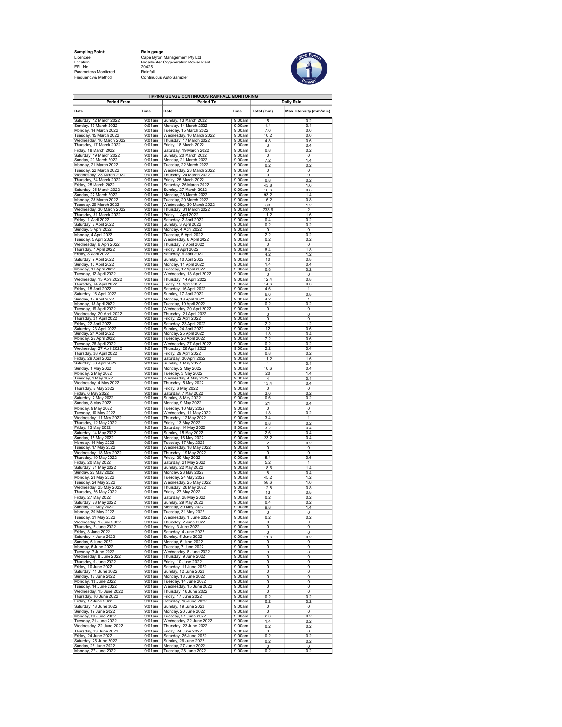Sampling Point: Rain gauge EPL No 20425 Parameter/s Monitored Rainfall

Licencee Cape Byron Management Pty Ltd Location Broadwater Cogeneration Power Plant Frequency & Method Continuous Auto Sampler



| <b>Period From</b>                                  |                     | TIPPING GUAGE CONTINUOUS RAINFALL MONITORING<br>Period To |                  | <b>Daily Rain</b>  |                        |  |
|-----------------------------------------------------|---------------------|-----------------------------------------------------------|------------------|--------------------|------------------------|--|
| Date                                                | Time                | Date                                                      | Time             | Total (mm)         | Max Intensity (mm/min) |  |
| Saturday, 12 March 2022<br>Sunday, 13 March 2022    | 9:01am<br>9:01am    | Sunday, 13 March 2022<br>Monday, 14 March 2022            | 9:00am<br>9:00am | 5<br>1.4           | 0.2<br>0.4             |  |
| Monday, 14 March 2022                               | 9:01am              | Tuesday, 15 March 2022                                    | 9:00am           | 7.6                | 0.6                    |  |
| Tuesday, 15 March 2022<br>Wednesday, 16 March 2022  | 9:01am<br>9:01am    | Wednesday, 16 March 2022<br>Thursday, 17 March 2022       | 9:00am<br>9:00am | 10.2<br>4.8        | 0.6<br>0.6             |  |
| Thursday, 17 March 2022<br>Friday, 18 March 2022    | 9:01am              | Friday, 18 March 2022                                     | 9:00am<br>9:00am | 3                  | 0.4                    |  |
| Saturday, 19 March 2022                             | 9:01am<br>9:01am    | Saturday, 19 March 2022<br>Sunday, 20 March 2022          | 9:00am           | 0.8<br>0           | 0.2<br>0               |  |
| Sunday, 20 March 2022<br>Monday, 21 March 2022      | 9:01am<br>9:01am    | Monday, 21 March 2022<br>Tuesday, 22 March 2022           | 9:00am<br>9:00am | 7.2<br>0.2         | 1.4<br>0.2             |  |
| Tuesday, 22 March 2022                              | $9:01$ am           | Wednesday, 23 March 2022                                  | 9:00am           | 0                  | 0                      |  |
| Wednesday, 23 March 2022<br>Thursday, 24 March 2022 | 9:01am<br>9:01am    | Thursday, 24 March 2022<br>Friday, 25 March 2022          | 9:00am<br>9:00am | 0<br>0.8           | 0<br>0.2               |  |
| Friday, 25 March 2022                               | 9:01am              | Saturday, 26 March 2022                                   | 9:00am           | 43.8               | 1.6                    |  |
| Saturday, 26 March 2022<br>Sunday, 27 March 2022    | 9:01am<br>9:01am    | Sunday, 27 March 2022<br>Monday, 28 March 2022            | 9:00am<br>9:00am | 16.6<br>93.2       | 0.8<br>1.4             |  |
| Monday, 28 March 2022                               | 9:01am              | Tuesday, 29 March 2022                                    | 9:00am           | 16.2               | 0.8                    |  |
| Tuesday, 29 March 2022<br>Wednesday, 30 March 2022  | 9:01am<br>9:01am    | Wednesday, 30 March 2022<br>Thursday, 31 March 2022       | 9:00am<br>9:00am | 83<br>233.6        | 1.2<br>$\overline{2}$  |  |
| Thursday, 31 March 2022                             | 9:01am              | Friday, 1 April 2022                                      | 9:00am           | 11.2               | 1.6                    |  |
| Friday, 1 April 2022                                | $9:01$ am<br>9:01am | Saturday, 2 April 2022<br>Sunday, 3 April 2022            | 9:00am<br>9:00am | 0.4<br>0.2         | 0.2<br>0.2             |  |
| Saturday, 2 April 2022<br>Sunday, 3 April 2022      | 9:01am              | Monday, 4 April 2022                                      | 9:00am           | 0                  | 0                      |  |
| Monday, 4 April 2022<br>Tuesday, 5 April 2022       | 9:01am<br>9:01am    | Tuesday, 5 April 2022<br>Wednesday, 6 April 2022          | 9:00am<br>9:00am | 2.2<br>0.2         | 0.2<br>0.2             |  |
| Wednesday, 6 April 2022                             | 9:01am              | Thursday, 7 April 2022                                    | 9:00am<br>9:00am | 0                  | 0                      |  |
| Thursday, 7 April 2022<br>Friday, 8 April 2022      | 9:01am<br>9:01am    | Friday, 8 April 2022<br>Saturday, 9 April 2022            | 9:00am           | 8.4<br>4.2         | 1.8<br>1.2             |  |
| Saturday, 9 April 2022<br>Sunday, 10 April 2022     | 9:01am<br>9:01am    | Sunday, 10 April 2022                                     | 9:00am<br>9:00am | 10<br>1.4          | 0.8<br>0.4             |  |
| Monday, 11 April 2022                               | $9:01$ am           | Monday, 11 April 2022<br>Tuesday, 12 April 2022           | 9:00am           | 0.8                | 0.2                    |  |
| Tuesday, 12 April 2022<br>Wednesday, 13 April 2022  | 9:01am<br>9:01am    | Wednesday, 13 April 2022<br>Thursday, 14 April 2022       | 9:00am<br>9:00am | 0<br>12.4          | 0<br>0.8               |  |
| Thursday, 14 April 2022                             | 9:01am              | Friday, 15 April 2022                                     | 9:00am           | 14.6               | 0.6                    |  |
| Friday, 15 April 2022<br>Saturday, 16 April 2022    | 9:01am<br>9:01am    | Saturday, 16 April 2022<br>Sunday, 17 April 2022          | 9:00am<br>9:00am | 4.6<br>6.6         | 1<br>0.8               |  |
| Sunday, 17 April 2022                               | 9:01am              | Monday, 18 April 2022                                     | 9:00am           | 4.2                | $\mathbf{1}$           |  |
| Monday, 18 April 2022<br>Tuesday, 19 April 2022     | 9:01am<br>9:01am    | Tuesday, 19 April 2022<br>Wednesday, 20 April 2022        | 9:00am<br>9:00am | 0.2<br>0           | 0.2<br>0               |  |
| Wednesday, 20 April 2022                            | 9:01am              | Thursday, 21 April 2022                                   | 9:00am           | 0                  | 0                      |  |
| Thursday, 21 April 2022<br>Friday, 22 April 2022    | 9:01am<br>9:01am    | Friday, 22 April 2022<br>Saturday, 23 April 2022          | 9:00am<br>9:00am | 0<br>2.2           | 0<br>1.2               |  |
| Saturday, 23 April 2022                             | 9:01am              | Sunday, 24 April 2022                                     | 9:00am           | 12                 | 0.6                    |  |
| Sunday, 24 April 2022<br>Monday, 25 April 2022      | 9:01am<br>9:01am    | Monday, 25 April 2022<br>Tuesday, 26 April 2022           | 9:00am<br>9:00am | 1.8<br>7.2         | 0.4<br>0.6             |  |
| Tuesday, 26 April 2022<br>Wednesday, 27 April 2022  | 9:01am              | Wednesday, 27 April 2022                                  | 9:00am<br>9:00am | 0.2                | 0.2                    |  |
| Thursday, 28 April 2022                             | 9:01am<br>9:01am    | Thursday, 28 April 2022<br>Friday, 29 April 2022          | 9:00am           | 2.2<br>0.8         | 0.4<br>0.2             |  |
| Friday, 29 April 2022<br>Saturday, 30 April 2022    | 9:01am<br>9:01am    | Saturday, 30 April 2022<br>Sunday, 1 May 2022             | 9:00am<br>9:00am | 11.2<br>1          | 1.6<br>0.4             |  |
| Sunday, 1 May 2022                                  | $9:01$ am           | Monday, 2 May 2022                                        | 9:00am           | 10.6               | 0.4                    |  |
| Monday, 2 May 2022<br>Tuesday, 3 May 2022           | 9:01am<br>9:01am    | Tuesday, 3 May 2022<br>Wednesday, 4 May 2022              | 9:00am<br>9:00am | 20<br>4            | 1.4<br>0.4             |  |
| Wednesday, 4 May 2022                               | 9:01am              | Thursday, 5 May 2022                                      | 9:00am           | 13.4               | 0.4                    |  |
| Thursday, 5 May 2022<br>Friday, 6 May 2022          | 9:01am<br>9:01am    | Friday, 6 May 2022<br>Saturday, 7 May 2022                | 9:00am<br>9:00am | $\Omega$<br>3.6    | $\Omega$<br>0.2        |  |
| Saturday, 7 May 2022<br>Sunday, 8 May 2022          | 9:01am              | Sunday, 8 May 2022                                        | 9:00am           | 0.6                | 0.2                    |  |
| Monday, 9 May 2022                                  | 9:01am<br>9:01am    | Monday, 9 May 2022<br>Tuesday, 10 May 2022                | 9:00am<br>9:00am | 21<br>0            | 0.4<br>0               |  |
| Tuesday, 10 May 2022                                | 9:01am<br>9:01am    | Wednesday, 11 May 2022                                    | 9:00am           | 1.8<br>3.4         | 0.2<br>1               |  |
| Wednesday, 11 May 2022<br>Thursday, 12 May 2022     | 9:01am              | Thursday, 12 May 2022<br>Friday, 13 May 2022              | 9:00am<br>9:00am | 0.8                | 0.2                    |  |
| Friday, 13 May 2022                                 | 9:01am<br>9:01am    | Saturday, 14 May 2022                                     | 9:00am<br>9:00am | 3.2<br>2.6         | 0.4<br>0.4             |  |
| Saturday, 14 May 2022<br>Sunday, 15 May 2022        | 9:01am              | Sunday, 15 May 2022<br>Monday, 16 May 2022                | 9:00am           | 23.2               | 0.4                    |  |
| Monday, 16 May 2022<br>Tuesday, 17 May 2022         | 9:01am<br>9:01am    | Tuesday, 17 May 2022<br>Wednesday, 18 May 2022            | 9:00am<br>9:00am | 2<br>0             | 0.2<br>0               |  |
| Wednesday, 18 May 2022                              | 9:01am              | Thursday, 19 May 2022                                     | 9:00am           | 0                  | 0                      |  |
| Thursday, 19 May 2022<br>Friday, 20 May 2022        | 9:01am<br>9:01am    | Friday, 20 May 2022<br>Saturday, 21 May 2022              | 9:00am<br>9:00am | 5.4<br>5.2         | 0.6<br>1               |  |
| Saturday, 21 May 2022                               | 9:01am              | Sunday, 22 May 2022                                       | 9:00am           | 18.6               | 1.4                    |  |
| Sunday, 22 May 2022<br>Monday, 23 May 2022          | 9:01am<br>9:01am    | Monday, 23 May 2022<br>Tuesday, 24 May 2022               | 9:00am<br>9:00am | 8<br>45.2          | 0.4<br>1.2             |  |
| Tuesday, 24 May 2022                                | 9:01am              | Wednesday, 25 May 2022                                    | 9:00am           | 58.6               | 1.6                    |  |
| Wednesday, 25 May 2022<br>Thursday, 26 May 2022     | 9:01am<br>9:01am    | Thursday, 26 May 2022<br>Friday, 27 May 2022              | 9:00am<br>9:00am | 12.8<br>13         | 0.8<br>0.8             |  |
| Friday, 27 May 2022                                 | 9:01am<br>9:01am    | Saturday, 28 May 2022                                     | 9:00am<br>9:00am | 0.2<br>0.4         | 0.2<br>0.2             |  |
| Saturday, 28 May 2022<br>Sundav, 29 Mav 20          |                     | Sunday, 29 May 2022<br>Monday, 30 May 20                  |                  | 9.8                | л                      |  |
| Monday, 30 May 2022<br>Tuesday, 31 May 2022         | 9:01am<br>9:01am    | Tuesday, 31 May 2022<br>Wednesday, 1 June 2022            | 9:00am<br>9:00am | $\Omega$<br>0.2    | $\Omega$<br>0.2        |  |
| Wednesday, 1 June 2022                              | 9:01am              | Thursday, 2 June 2022                                     | 9:00am           | 0                  | 0                      |  |
| Thursday, 2 June 2022<br>Friday, 3 June 2022        | 9:01am<br>9:01am    | Friday, 3 June 2022<br>Saturday, 4 June 2022              | 9:00am<br>9:00am | 0<br>0             | 0<br>0                 |  |
| Saturday, 4 June 2022                               | $9:01$ am           | Sunday, 5 June 2022                                       | 9:00am           | 11.6               | 0.2                    |  |
| Sunday, 5 June 2022<br>Monday, 6 June 2022          | 9:01am<br>9:01am    | Monday, 6 June 2022<br>Tuesday, 7 June 2022               | 9:00am<br>9:00am | 0<br>0             | 0<br>0                 |  |
| Tuesday, 7 June 2022                                | $9:01$ am           | Wednesday, 8 June 2022                                    | 9:00am           | 0                  | 0                      |  |
| Wednesday, 8 June 2022<br>Thursday, 9 June 2022     | 9:01am<br>9:01am    | Thursday, 9 June 2022<br>Friday, 10 June 2022             | 9:00am<br>9:00am | 0<br>0             | 0<br>0                 |  |
| Friday, 10 June 2022                                | 9:01am              | Saturday, 11 June 2022                                    | 9:00am           | 0                  | 0                      |  |
| Saturday, 11 June 2022<br>Sunday, 12 June 2022      | 9:01am<br>9:01am    | Sunday, 12 June 2022<br>Monday, 13 June 2022              | 9:00am<br>9:00am | 0<br>0             | 0<br>0                 |  |
| Monday, 13 June 2022                                | 9:01am<br>9:01am    | Tuesday, 14 June 2022                                     | 9:00am<br>9:00am | 0                  | 0                      |  |
| Tuesday, 14 June 2022<br>Wednesday, 15 June 2022    | 9:01am              | Wednesday, 15 June 2022<br>Thursday, 16 June 2022         | 9:00am           | 0<br>0             | 0<br>0                 |  |
| Thursday, 16 June 2022<br>Friday, 17 June 2022      | 9:01am<br>9:01am    | Friday, 17 June 2022<br>Saturday, 18 June 2022            | 9:00am<br>9:00am | 0.2<br>0.2         | 0.2<br>0.2             |  |
| Saturday, 18 June 2022                              | 9:01am              | Sunday, 19 June 2022                                      | 9:00am           | 0                  | 0                      |  |
| Sunday, 19 June 2022<br>Monday, 20 June 2022        | 9:01am<br>9:01am    | Monday, 20 June 2022<br>Tuesday, 21 June 2022             | 9:00am<br>9:00am | $\Omega$<br>2.6    | $\Omega$<br>0.2        |  |
| Tuesday, 21 June 2022                               | 9:01am              | Wednesday, 22 June 2022                                   | 9:00am           | 1.4                | 0.2                    |  |
| Wednesday, 22 June 2022<br>Thursday, 23 June 2022   | 9:01am<br>9:01am    | Thursday, 23 June 2022<br>Friday, 24 June 2022            | 9:00am<br>9:00am | 0.2<br>0           | 0.2<br>0               |  |
| Friday, 24 June 2022                                | 9:01am              | Saturday, 25 June 2022                                    | 9:00am           | 0.2                | 0.2                    |  |
| Saturday, 25 June 2022<br>Sunday, 26 June 2022      | 9:01am<br>9:01am    | Sunday, 26 June 2022<br>Monday, 27 June 2022              | 9:00am<br>9:00am | 0.2<br>$\mathbf 0$ | 0.2<br>$\mathbf 0$     |  |
| Monday, 27 June 2022                                | 9:01am              | Tuesday, 28 June 2022                                     | 9:00am           | 0.2                | 0.2                    |  |